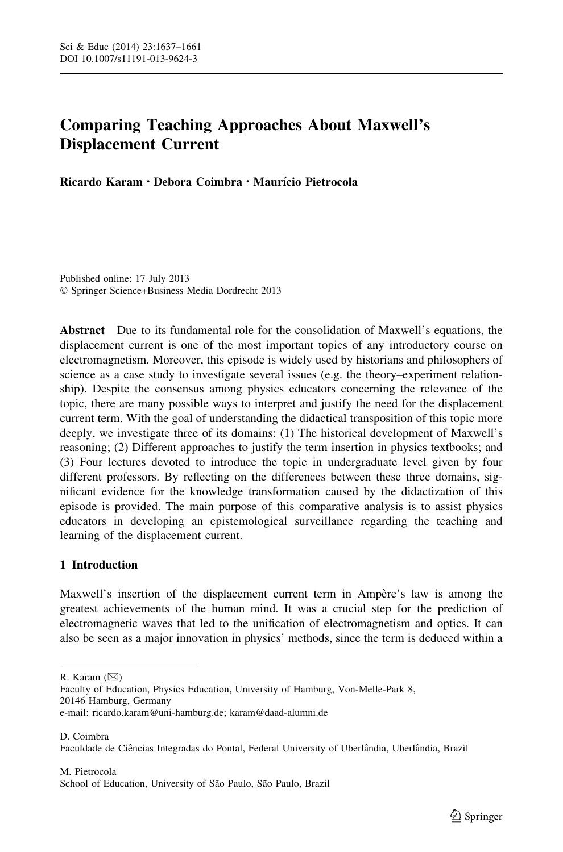# Comparing Teaching Approaches About Maxwell's Displacement Current

Ricardo Karam · Debora Coimbra · Maurício Pietrocola

Published online: 17 July 2013 - Springer Science+Business Media Dordrecht 2013

Abstract Due to its fundamental role for the consolidation of Maxwell's equations, the displacement current is one of the most important topics of any introductory course on electromagnetism. Moreover, this episode is widely used by historians and philosophers of science as a case study to investigate several issues (e.g. the theory–experiment relationship). Despite the consensus among physics educators concerning the relevance of the topic, there are many possible ways to interpret and justify the need for the displacement current term. With the goal of understanding the didactical transposition of this topic more deeply, we investigate three of its domains: (1) The historical development of Maxwell's reasoning; (2) Different approaches to justify the term insertion in physics textbooks; and (3) Four lectures devoted to introduce the topic in undergraduate level given by four different professors. By reflecting on the differences between these three domains, significant evidence for the knowledge transformation caused by the didactization of this episode is provided. The main purpose of this comparative analysis is to assist physics educators in developing an epistemological surveillance regarding the teaching and learning of the displacement current.

# 1 Introduction

Maxwell's insertion of the displacement current term in Ampère's law is among the greatest achievements of the human mind. It was a crucial step for the prediction of electromagnetic waves that led to the unification of electromagnetism and optics. It can also be seen as a major innovation in physics' methods, since the term is deduced within a

R. Karam  $(\boxtimes)$ 

Faculty of Education, Physics Education, University of Hamburg, Von-Melle-Park 8, 20146 Hamburg, Germany e-mail: ricardo.karam@uni-hamburg.de; karam@daad-alumni.de

D. Coimbra Faculdade de Ciências Integradas do Pontal, Federal University of Uberlândia, Uberlândia, Brazil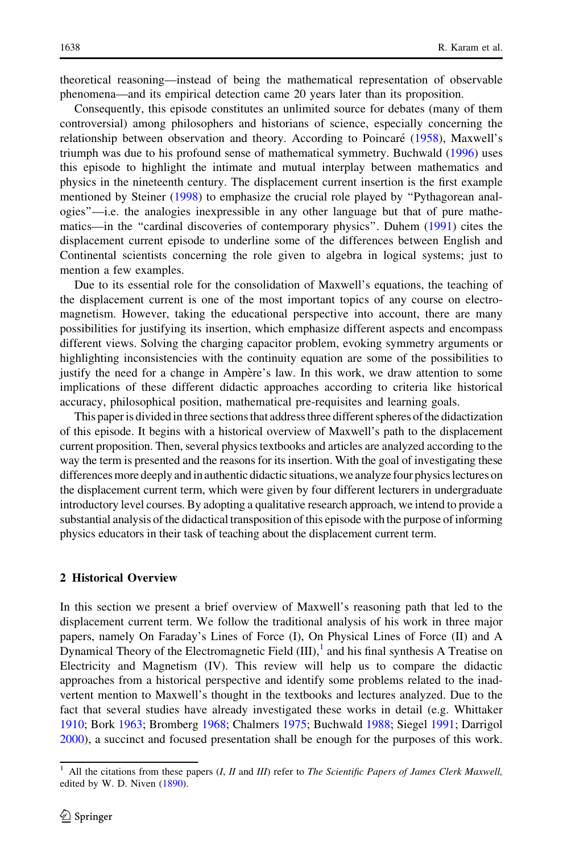<span id="page-1-0"></span>theoretical reasoning—instead of being the mathematical representation of observable phenomena—and its empirical detection came 20 years later than its proposition.

Consequently, this episode constitutes an unlimited source for debates (many of them controversial) among philosophers and historians of science, especially concerning the relationship between observation and theory. According to Poincaré ([1958\)](#page-24-0), Maxwell's triumph was due to his profound sense of mathematical symmetry. Buchwald [\(1996](#page-23-0)) uses this episode to highlight the intimate and mutual interplay between mathematics and physics in the nineteenth century. The displacement current insertion is the first example mentioned by Steiner ([1998\)](#page-24-0) to emphasize the crucial role played by ''Pythagorean analogies''—i.e. the analogies inexpressible in any other language but that of pure mathe-matics—in the "cardinal discoveries of contemporary physics". Duhem [\(1991](#page-24-0)) cites the displacement current episode to underline some of the differences between English and Continental scientists concerning the role given to algebra in logical systems; just to mention a few examples.

Due to its essential role for the consolidation of Maxwell's equations, the teaching of the displacement current is one of the most important topics of any course on electromagnetism. However, taking the educational perspective into account, there are many possibilities for justifying its insertion, which emphasize different aspects and encompass different views. Solving the charging capacitor problem, evoking symmetry arguments or highlighting inconsistencies with the continuity equation are some of the possibilities to justify the need for a change in Ampère's law. In this work, we draw attention to some implications of these different didactic approaches according to criteria like historical accuracy, philosophical position, mathematical pre-requisites and learning goals.

This paper is divided in three sections that address three different spheres of the didactization of this episode. It begins with a historical overview of Maxwell's path to the displacement current proposition. Then, several physics textbooks and articles are analyzed according to the way the term is presented and the reasons for its insertion. With the goal of investigating these differences more deeply and in authentic didactic situations, we analyze four physics lectures on the displacement current term, which were given by four different lecturers in undergraduate introductory level courses. By adopting a qualitative research approach, we intend to provide a substantial analysis of the didactical transposition of this episode with the purpose of informing physics educators in their task of teaching about the displacement current term.

#### 2 Historical Overview

In this section we present a brief overview of Maxwell's reasoning path that led to the displacement current term. We follow the traditional analysis of his work in three major papers, namely On Faraday's Lines of Force (I), On Physical Lines of Force (II) and A Dynamical Theory of the Electromagnetic Field  $(III)$ ,<sup>1</sup> and his final synthesis A Treatise on Electricity and Magnetism (IV). This review will help us to compare the didactic approaches from a historical perspective and identify some problems related to the inadvertent mention to Maxwell's thought in the textbooks and lectures analyzed. Due to the fact that several studies have already investigated these works in detail (e.g. Whittaker [1910;](#page-24-0) Bork [1963](#page-23-0); Bromberg [1968](#page-23-0); Chalmers [1975;](#page-23-0) Buchwald [1988;](#page-23-0) Siegel [1991](#page-24-0); Darrigol [2000\)](#page-24-0), a succinct and focused presentation shall be enough for the purposes of this work.

All the citations from these papers (I, II and III) refer to The Scientific Papers of James Clerk Maxwell, edited by W. D. Niven ([1890\)](#page-24-0).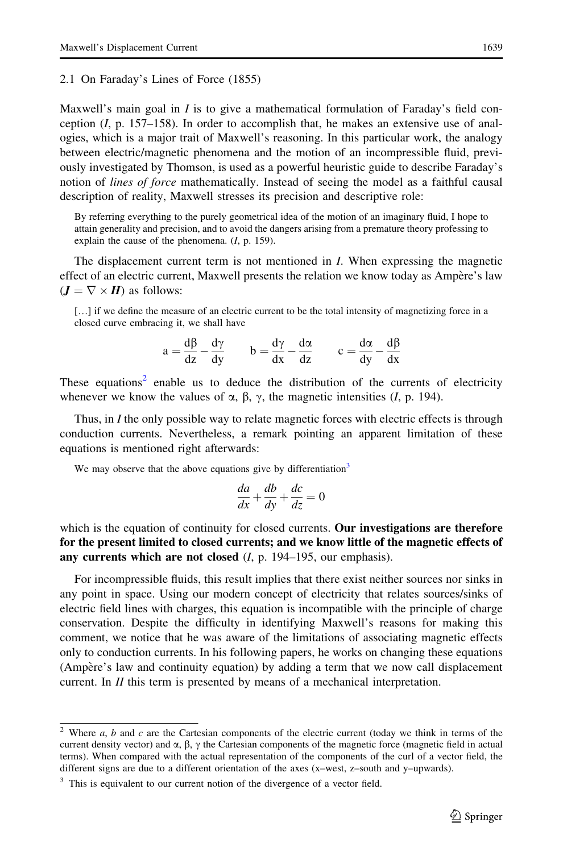## 2.1 On Faraday's Lines of Force (1855)

Maxwell's main goal in *I* is to give a mathematical formulation of Faraday's field conception  $(I, p. 157-158)$ . In order to accomplish that, he makes an extensive use of analogies, which is a major trait of Maxwell's reasoning. In this particular work, the analogy between electric/magnetic phenomena and the motion of an incompressible fluid, previously investigated by Thomson, is used as a powerful heuristic guide to describe Faraday's notion of *lines of force* mathematically. Instead of seeing the model as a faithful causal description of reality, Maxwell stresses its precision and descriptive role:

By referring everything to the purely geometrical idea of the motion of an imaginary fluid, I hope to attain generality and precision, and to avoid the dangers arising from a premature theory professing to explain the cause of the phenomena. (I, p. 159).

The displacement current term is not mentioned in I. When expressing the magnetic effect of an electric current, Maxwell presents the relation we know today as Ampère's law  $(J = \nabla \times H)$  as follows:

[...] if we define the measure of an electric current to be the total intensity of magnetizing force in a closed curve embracing it, we shall have

$$
a = \frac{d\beta}{dz} - \frac{d\gamma}{dy} \qquad b = \frac{d\gamma}{dx} - \frac{d\alpha}{dz} \qquad c = \frac{d\alpha}{dy} - \frac{d\beta}{dx}
$$

These equations<sup>2</sup> enable us to deduce the distribution of the currents of electricity whenever we know the values of  $\alpha$ ,  $\beta$ ,  $\gamma$ , the magnetic intensities (*I*, p. 194).

Thus, in I the only possible way to relate magnetic forces with electric effects is through conduction currents. Nevertheless, a remark pointing an apparent limitation of these equations is mentioned right afterwards:

We may observe that the above equations give by differentiation<sup>3</sup>

$$
\frac{da}{dx} + \frac{db}{dy} + \frac{dc}{dz} = 0
$$

which is the equation of continuity for closed currents. Our investigations are therefore for the present limited to closed currents; and we know little of the magnetic effects of any currents which are not closed  $(I, p. 194–195, \text{ our emphasis}).$ 

For incompressible fluids, this result implies that there exist neither sources nor sinks in any point in space. Using our modern concept of electricity that relates sources/sinks of electric field lines with charges, this equation is incompatible with the principle of charge conservation. Despite the difficulty in identifying Maxwell's reasons for making this comment, we notice that he was aware of the limitations of associating magnetic effects only to conduction currents. In his following papers, he works on changing these equations (Ampère's law and continuity equation) by adding a term that we now call displacement current. In *II* this term is presented by means of a mechanical interpretation.

<sup>&</sup>lt;sup>2</sup> Where  $a$ ,  $b$  and  $c$  are the Cartesian components of the electric current (today we think in terms of the current density vector) and  $\alpha$ ,  $\beta$ ,  $\gamma$  the Cartesian components of the magnetic force (magnetic field in actual terms). When compared with the actual representation of the components of the curl of a vector field, the different signs are due to a different orientation of the axes (x–west, z–south and y–upwards).

<sup>&</sup>lt;sup>3</sup> This is equivalent to our current notion of the divergence of a vector field.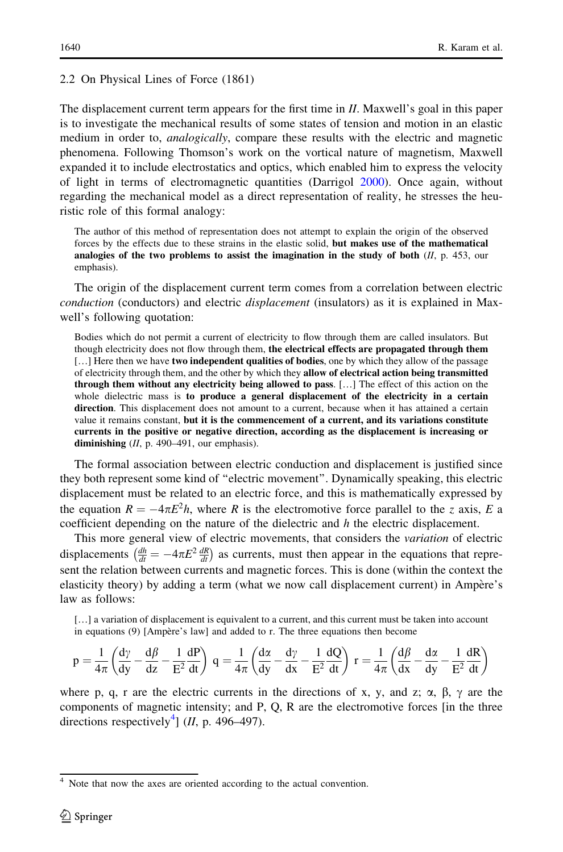#### 2.2 On Physical Lines of Force (1861)

The displacement current term appears for the first time in *II*. Maxwell's goal in this paper is to investigate the mechanical results of some states of tension and motion in an elastic medium in order to, *analogically*, compare these results with the electric and magnetic phenomena. Following Thomson's work on the vortical nature of magnetism, Maxwell expanded it to include electrostatics and optics, which enabled him to express the velocity of light in terms of electromagnetic quantities (Darrigol [2000](#page-24-0)). Once again, without regarding the mechanical model as a direct representation of reality, he stresses the heuristic role of this formal analogy:

The author of this method of representation does not attempt to explain the origin of the observed forces by the effects due to these strains in the elastic solid, but makes use of the mathematical analogies of the two problems to assist the imagination in the study of both  $(II, p. 453, our)$ emphasis).

The origin of the displacement current term comes from a correlation between electric conduction (conductors) and electric *displacement* (insulators) as it is explained in Maxwell's following quotation:

Bodies which do not permit a current of electricity to flow through them are called insulators. But though electricity does not flow through them, the electrical effects are propagated through them [...] Here then we have two independent qualities of bodies, one by which they allow of the passage of electricity through them, and the other by which they allow of electrical action being transmitted through them without any electricity being allowed to pass. […] The effect of this action on the whole dielectric mass is to produce a general displacement of the electricity in a certain direction. This displacement does not amount to a current, because when it has attained a certain value it remains constant, but it is the commencement of a current, and its variations constitute currents in the positive or negative direction, according as the displacement is increasing or diminishing  $(II, p. 490-491, \text{ our emphasis}).$ 

The formal association between electric conduction and displacement is justified since they both represent some kind of ''electric movement''. Dynamically speaking, this electric displacement must be related to an electric force, and this is mathematically expressed by the equation  $R = -4\pi E^2 h$ , where R is the electromotive force parallel to the z axis, E a coefficient depending on the nature of the dielectric and  $h$  the electric displacement.

This more general view of electric movements, that considers the variation of electric displacements  $\left(\frac{dh}{dt} = -4\pi E^2 \frac{dR}{dt}\right)$  as currents, must then appear in the equations that represent the relation between currents and magnetic forces. This is done (within the context the elasticity theory) by adding a term (what we now call displacement current) in Ampère's law as follows:

[...] a variation of displacement is equivalent to a current, and this current must be taken into account in equations (9) [Ampère's law] and added to r. The three equations then become

$$
p = \frac{1}{4\pi} \left( \frac{dy}{dy} - \frac{d\beta}{dz} - \frac{1}{E^2} \frac{dP}{dt} \right) q = \frac{1}{4\pi} \left( \frac{d\alpha}{dy} - \frac{d\gamma}{dx} - \frac{1}{E^2} \frac{dQ}{dt} \right) r = \frac{1}{4\pi} \left( \frac{d\beta}{dx} - \frac{d\alpha}{dy} - \frac{1}{E^2} \frac{dR}{dt} \right)
$$

where p, q, r are the electric currents in the directions of x, y, and z;  $\alpha$ ,  $\beta$ ,  $\gamma$  are the components of magnetic intensity; and P, Q, R are the electromotive forces [in the three directions respectively<sup>4</sup>] (*II*, p. 496–497).

Note that now the axes are oriented according to the actual convention.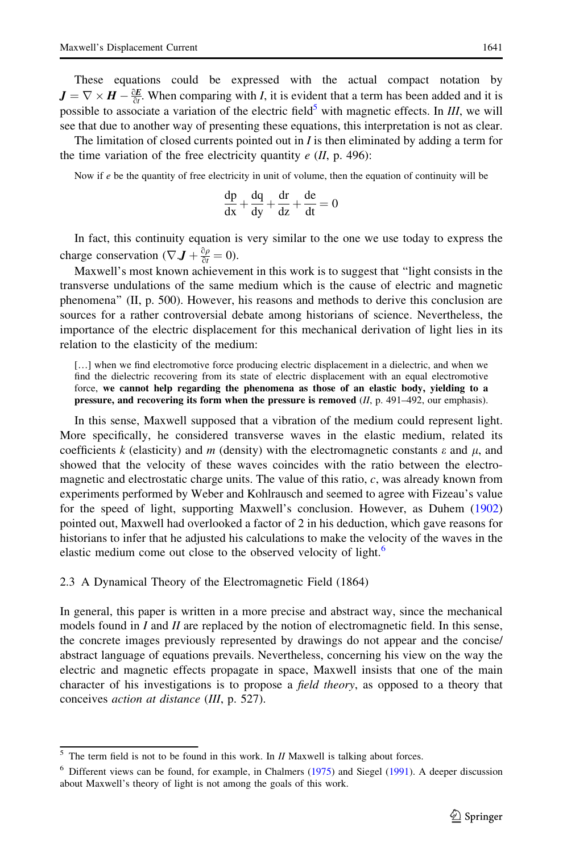These equations could be expressed with the actual compact notation by  $J = \nabla \times H - \frac{\partial E}{\partial t}$ . When comparing with *I*, it is evident that a term has been added and it is possible to associate a variation of the electric field<sup>5</sup> with magnetic effects. In *III*, we will see that due to another way of presenting these equations, this interpretation is not as clear.

The limitation of closed currents pointed out in  $I$  is then eliminated by adding a term for the time variation of the free electricity quantity  $e$  (*II*, p. 496):

Now if e be the quantity of free electricity in unit of volume, then the equation of continuity will be

$$
\frac{dp}{dx} + \frac{dq}{dy} + \frac{dr}{dz} + \frac{de}{dt} = 0
$$

In fact, this continuity equation is very similar to the one we use today to express the charge conservation  $(\nabla J + \frac{\partial \rho}{\partial t} = 0)$ .

Maxwell's most known achievement in this work is to suggest that ''light consists in the transverse undulations of the same medium which is the cause of electric and magnetic phenomena'' (II, p. 500). However, his reasons and methods to derive this conclusion are sources for a rather controversial debate among historians of science. Nevertheless, the importance of the electric displacement for this mechanical derivation of light lies in its relation to the elasticity of the medium:

[...] when we find electromotive force producing electric displacement in a dielectric, and when we find the dielectric recovering from its state of electric displacement with an equal electromotive force, we cannot help regarding the phenomena as those of an elastic body, yielding to a pressure, and recovering its form when the pressure is removed  $(II, p. 491–492, \text{ our emphasis}).$ 

In this sense, Maxwell supposed that a vibration of the medium could represent light. More specifically, he considered transverse waves in the elastic medium, related its coefficients k (elasticity) and m (density) with the electromagnetic constants  $\varepsilon$  and  $\mu$ , and showed that the velocity of these waves coincides with the ratio between the electromagnetic and electrostatic charge units. The value of this ratio,  $c$ , was already known from experiments performed by Weber and Kohlrausch and seemed to agree with Fizeau's value for the speed of light, supporting Maxwell's conclusion. However, as Duhem ([1902](#page-24-0)) pointed out, Maxwell had overlooked a factor of 2 in his deduction, which gave reasons for historians to infer that he adjusted his calculations to make the velocity of the waves in the elastic medium come out close to the observed velocity of light.<sup>6</sup>

2.3 A Dynamical Theory of the Electromagnetic Field (1864)

In general, this paper is written in a more precise and abstract way, since the mechanical models found in  $I$  and  $II$  are replaced by the notion of electromagnetic field. In this sense, the concrete images previously represented by drawings do not appear and the concise/ abstract language of equations prevails. Nevertheless, concerning his view on the way the electric and magnetic effects propagate in space, Maxwell insists that one of the main character of his investigations is to propose a *field theory*, as opposed to a theory that conceives action at distance (III, p. 527).

The term field is not to be found in this work. In II Maxwell is talking about forces.

<sup>6</sup> Different views can be found, for example, in Chalmers ([1975\)](#page-23-0) and Siegel ([1991\)](#page-24-0). A deeper discussion about Maxwell's theory of light is not among the goals of this work.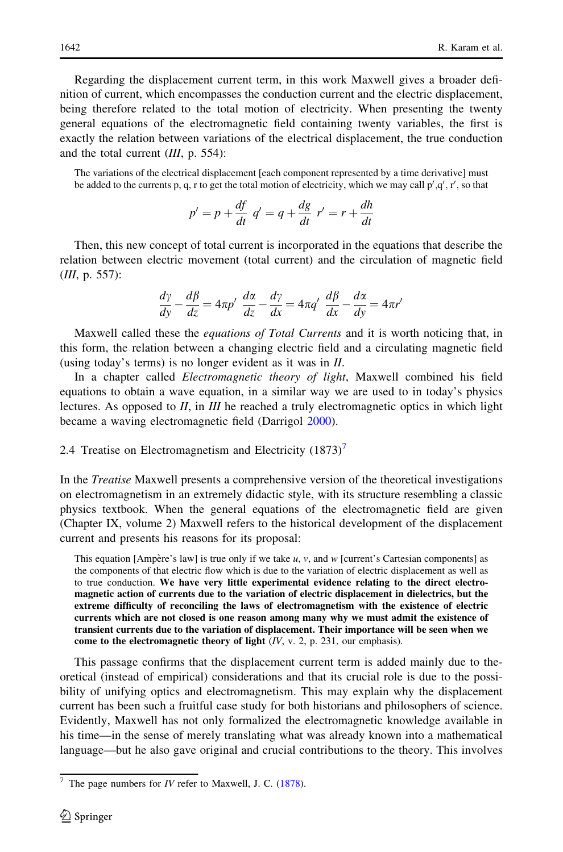Regarding the displacement current term, in this work Maxwell gives a broader definition of current, which encompasses the conduction current and the electric displacement, being therefore related to the total motion of electricity. When presenting the twenty general equations of the electromagnetic field containing twenty variables, the first is exactly the relation between variations of the electrical displacement, the true conduction and the total current (III, p. 554):

The variations of the electrical displacement [each component represented by a time derivative] must be added to the currents p, q, r to get the total motion of electricity, which we may call  $p', q', r'$ , so that

$$
p' = p + \frac{df}{dt} q' = q + \frac{dg}{dt} r' = r + \frac{dh}{dt}
$$

Then, this new concept of total current is incorporated in the equations that describe the relation between electric movement (total current) and the circulation of magnetic field (III, p. 557):

$$
\frac{dy}{dy} - \frac{d\beta}{dz} = 4\pi p' \frac{d\alpha}{dz} - \frac{dy}{dx} = 4\pi q' \frac{d\beta}{dx} - \frac{d\alpha}{dy} = 4\pi r'
$$

Maxwell called these the *equations of Total Currents* and it is worth noticing that, in this form, the relation between a changing electric field and a circulating magnetic field (using today's terms) is no longer evident as it was in II.

In a chapter called *Electromagnetic theory of light*, Maxwell combined his field equations to obtain a wave equation, in a similar way we are used to in today's physics lectures. As opposed to  $II$ , in  $III$  he reached a truly electromagnetic optics in which light became a waving electromagnetic field (Darrigol [2000\)](#page-24-0).

# 2.4 Treatise on Electromagnetism and Electricity  $(1873)^7$

In the Treatise Maxwell presents a comprehensive version of the theoretical investigations on electromagnetism in an extremely didactic style, with its structure resembling a classic physics textbook. When the general equations of the electromagnetic field are given (Chapter IX, volume 2) Maxwell refers to the historical development of the displacement current and presents his reasons for its proposal:

This equation [Ampère's law] is true only if we take  $u$ ,  $v$ , and  $w$  [current's Cartesian components] as the components of that electric flow which is due to the variation of electric displacement as well as to true conduction. We have very little experimental evidence relating to the direct electromagnetic action of currents due to the variation of electric displacement in dielectrics, but the extreme difficulty of reconciling the laws of electromagnetism with the existence of electric currents which are not closed is one reason among many why we must admit the existence of transient currents due to the variation of displacement. Their importance will be seen when we come to the electromagnetic theory of light (IV, v. 2, p. 231, our emphasis).

This passage confirms that the displacement current term is added mainly due to theoretical (instead of empirical) considerations and that its crucial role is due to the possibility of unifying optics and electromagnetism. This may explain why the displacement current has been such a fruitful case study for both historians and philosophers of science. Evidently, Maxwell has not only formalized the electromagnetic knowledge available in his time—in the sense of merely translating what was already known into a mathematical language—but he also gave original and crucial contributions to the theory. This involves

 $^7$  The page numbers for *IV* refer to Maxwell, J. C. ([1878](#page-24-0)).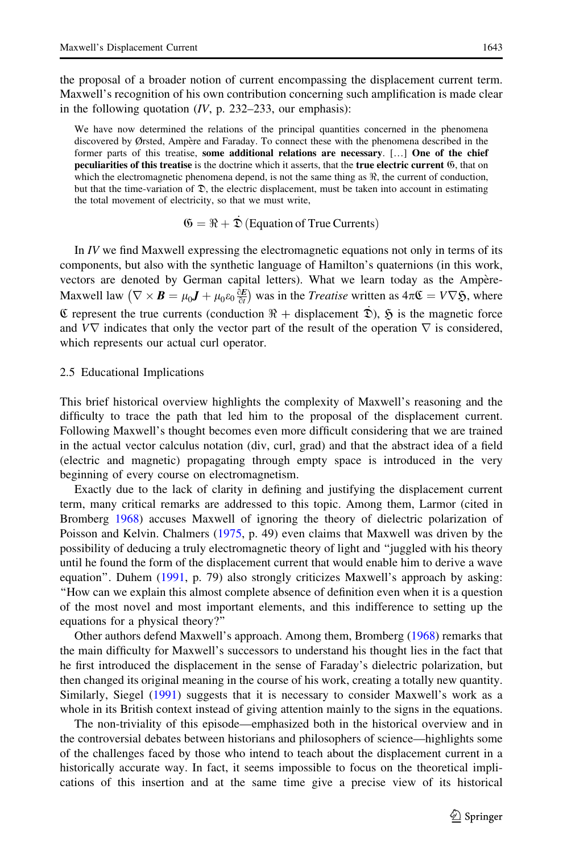the proposal of a broader notion of current encompassing the displacement current term. Maxwell's recognition of his own contribution concerning such amplification is made clear in the following quotation  $(IV, p. 232-233, \text{ our emphasis})$ :

We have now determined the relations of the principal quantities concerned in the phenomena discovered by Ørsted, Ampère and Faraday. To connect these with the phenomena described in the former parts of this treatise, some additional relations are necessary. [...] One of the chief peculiarities of this treatise is the doctrine which it asserts, that the true electric current G, that on which the electromagnetic phenomena depend, is not the same thing as  $\Re$ , the current of conduction, but that the time-variation of D, the electric displacement, must be taken into account in estimating the total movement of electricity, so that we must write,

$$
\mathfrak{G} = \mathfrak{R} + \dot{\mathfrak{D}}
$$
 (Equation of True Currents)

In  $IV$  we find Maxwell expressing the electromagnetic equations not only in terms of its components, but also with the synthetic language of Hamilton's quaternions (in this work, vectors are denoted by German capital letters). What we learn today as the Ampère-Maxwell law  $(\nabla \times \mathbf{B} = \mu_0 \mathbf{J} + \mu_0 \varepsilon_0 \frac{\partial \mathbf{E}}{\partial t})$  $(\nabla \times \mathbf{B} = \mu_0 \mathbf{J} + \mu_0 \varepsilon_0 \frac{\partial \mathbf{E}}{\partial t})$  was in the *Treatise* written as  $4\pi \mathbf{C} = V \nabla \mathfrak{H}$ , where C represent the true currents (conduction  $\Re$  + displacement  $\Im$ ),  $\Im$  is the magnetic force and  $V\nabla$  indicates that only the vector part of the result of the operation  $\nabla$  is considered, which represents our actual curl operator.

#### 2.5 Educational Implications

This brief historical overview highlights the complexity of Maxwell's reasoning and the difficulty to trace the path that led him to the proposal of the displacement current. Following Maxwell's thought becomes even more difficult considering that we are trained in the actual vector calculus notation (div, curl, grad) and that the abstract idea of a field (electric and magnetic) propagating through empty space is introduced in the very beginning of every course on electromagnetism.

Exactly due to the lack of clarity in defining and justifying the displacement current term, many critical remarks are addressed to this topic. Among them, Larmor (cited in Bromberg [1968\)](#page-23-0) accuses Maxwell of ignoring the theory of dielectric polarization of Poisson and Kelvin. Chalmers ([1975,](#page-23-0) p. 49) even claims that Maxwell was driven by the possibility of deducing a truly electromagnetic theory of light and ''juggled with his theory until he found the form of the displacement current that would enable him to derive a wave equation''. Duhem ([1991](#page-24-0), p. 79) also strongly criticizes Maxwell's approach by asking: ''How can we explain this almost complete absence of definition even when it is a question of the most novel and most important elements, and this indifference to setting up the equations for a physical theory?''

Other authors defend Maxwell's approach. Among them, Bromberg [\(1968\)](#page-23-0) remarks that the main difficulty for Maxwell's successors to understand his thought lies in the fact that he first introduced the displacement in the sense of Faraday's dielectric polarization, but then changed its original meaning in the course of his work, creating a totally new quantity. Similarly, Siegel ([1991](#page-24-0)) suggests that it is necessary to consider Maxwell's work as a whole in its British context instead of giving attention mainly to the signs in the equations.

The non-triviality of this episode—emphasized both in the historical overview and in the controversial debates between historians and philosophers of science—highlights some of the challenges faced by those who intend to teach about the displacement current in a historically accurate way. In fact, it seems impossible to focus on the theoretical implications of this insertion and at the same time give a precise view of its historical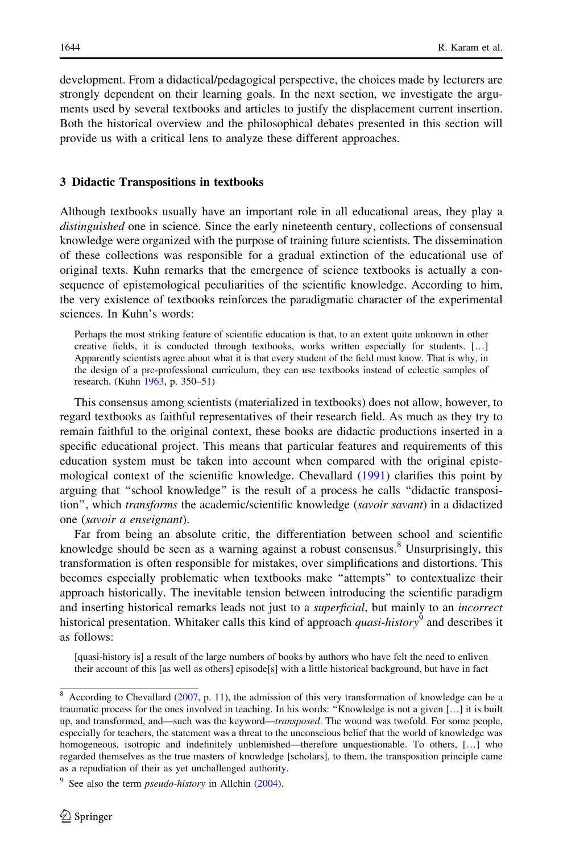<span id="page-7-0"></span>development. From a didactical/pedagogical perspective, the choices made by lecturers are strongly dependent on their learning goals. In the next section, we investigate the arguments used by several textbooks and articles to justify the displacement current insertion. Both the historical overview and the philosophical debates presented in this section will provide us with a critical lens to analyze these different approaches.

# 3 Didactic Transpositions in textbooks

Although textbooks usually have an important role in all educational areas, they play a distinguished one in science. Since the early nineteenth century, collections of consensual knowledge were organized with the purpose of training future scientists. The dissemination of these collections was responsible for a gradual extinction of the educational use of original texts. Kuhn remarks that the emergence of science textbooks is actually a consequence of epistemological peculiarities of the scientific knowledge. According to him, the very existence of textbooks reinforces the paradigmatic character of the experimental sciences. In Kuhn's words:

Perhaps the most striking feature of scientific education is that, to an extent quite unknown in other creative fields, it is conducted through textbooks, works written especially for students. […] Apparently scientists agree about what it is that every student of the field must know. That is why, in the design of a pre-professional curriculum, they can use textbooks instead of eclectic samples of research. (Kuhn [1963](#page-24-0), p. 350–51)

This consensus among scientists (materialized in textbooks) does not allow, however, to regard textbooks as faithful representatives of their research field. As much as they try to remain faithful to the original context, these books are didactic productions inserted in a specific educational project. This means that particular features and requirements of this education system must be taken into account when compared with the original epistemological context of the scientific knowledge. Chevallard [\(1991](#page-24-0)) clarifies this point by arguing that ''school knowledge'' is the result of a process he calls ''didactic transposition", which transforms the academic/scientific knowledge (savoir savant) in a didactized one (savoir a enseignant).

Far from being an absolute critic, the differentiation between school and scientific knowledge should be seen as a warning against a robust consensus.<sup>8</sup> Unsurprisingly, this transformation is often responsible for mistakes, over simplifications and distortions. This becomes especially problematic when textbooks make ''attempts'' to contextualize their approach historically. The inevitable tension between introducing the scientific paradigm and inserting historical remarks leads not just to a superficial, but mainly to an incorrect historical presentation. Whitaker calls this kind of approach *quasi-history*<sup>9</sup> and describes it as follows:

[quasi-history is] a result of the large numbers of books by authors who have felt the need to enliven their account of this [as well as others] episode[s] with a little historical background, but have in fact

<sup>&</sup>lt;sup>8</sup> According to Chevallard ([2007,](#page-24-0) p. 11), the admission of this very transformation of knowledge can be a traumatic process for the ones involved in teaching. In his words: ''Knowledge is not a given […] it is built up, and transformed, and—such was the keyword—transposed. The wound was twofold. For some people, especially for teachers, the statement was a threat to the unconscious belief that the world of knowledge was homogeneous, isotropic and indefinitely unblemished—therefore unquestionable. To others, [...] who regarded themselves as the true masters of knowledge [scholars], to them, the transposition principle came as a repudiation of their as yet unchallenged authority.

 $9$  See also the term *pseudo-history* in Allchin [\(2004](#page-23-0)).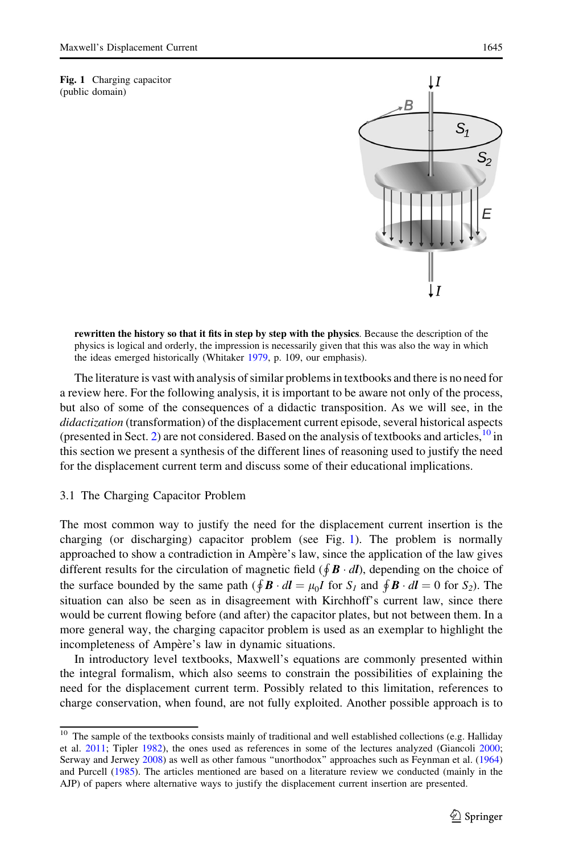Fig. 1 Charging capacitor (public domain)



rewritten the history so that it fits in step by step with the physics. Because the description of the physics is logical and orderly, the impression is necessarily given that this was also the way in which the ideas emerged historically (Whitaker [1979](#page-24-0), p. 109, our emphasis).

The literature is vast with analysis of similar problems in textbooks and there is no need for a review here. For the following analysis, it is important to be aware not only of the process, but also of some of the consequences of a didactic transposition. As we will see, in the didactization (transformation) of the displacement current episode, several historical aspects (presented in Sect. [2\)](#page-1-0) are not considered. Based on the analysis of textbooks and articles,  $\frac{10}{10}$  in this section we present a synthesis of the different lines of reasoning used to justify the need for the displacement current term and discuss some of their educational implications.

# 3.1 The Charging Capacitor Problem

The most common way to justify the need for the displacement current insertion is the charging (or discharging) capacitor problem (see Fig. 1). The problem is normally approached to show a contradiction in Ampère's law, since the application of the law gives different results for the circulation of magnetic field  $(\oint \mathbf{B} \cdot d\mathbf{l})$ , depending on the choice of the surface bounded by the same path  $(\oint \mathbf{B} \cdot d\mathbf{l} = \mu_0 I$  for  $S_1$  and  $\oint \mathbf{B} \cdot d\mathbf{l} = 0$  for  $S_2$ ). The situation can also be seen as in disagreement with Kirchhoff's current law, since there would be current flowing before (and after) the capacitor plates, but not between them. In a more general way, the charging capacitor problem is used as an exemplar to highlight the incompleteness of Ampère's law in dynamic situations.

In introductory level textbooks, Maxwell's equations are commonly presented within the integral formalism, which also seems to constrain the possibilities of explaining the need for the displacement current term. Possibly related to this limitation, references to charge conservation, when found, are not fully exploited. Another possible approach is to

<sup>&</sup>lt;sup>10</sup> The sample of the textbooks consists mainly of traditional and well established collections (e.g. Halliday et al. [2011;](#page-24-0) Tipler [1982\)](#page-24-0), the ones used as references in some of the lectures analyzed (Giancoli [2000](#page-24-0); Serway and Jerwey [2008](#page-24-0)) as well as other famous ''unorthodox'' approaches such as Feynman et al. [\(1964\)](#page-24-0) and Purcell [\(1985](#page-24-0)). The articles mentioned are based on a literature review we conducted (mainly in the AJP) of papers where alternative ways to justify the displacement current insertion are presented.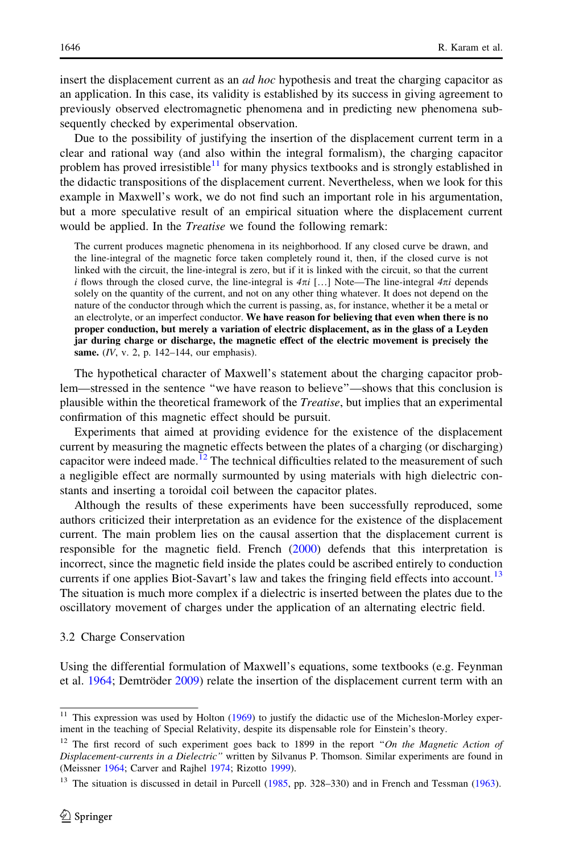insert the displacement current as an *ad hoc* hypothesis and treat the charging capacitor as an application. In this case, its validity is established by its success in giving agreement to previously observed electromagnetic phenomena and in predicting new phenomena subsequently checked by experimental observation.

Due to the possibility of justifying the insertion of the displacement current term in a clear and rational way (and also within the integral formalism), the charging capacitor problem has proved irresistible<sup>11</sup> for many physics textbooks and is strongly established in the didactic transpositions of the displacement current. Nevertheless, when we look for this example in Maxwell's work, we do not find such an important role in his argumentation, but a more speculative result of an empirical situation where the displacement current would be applied. In the *Treatise* we found the following remark:

The current produces magnetic phenomena in its neighborhood. If any closed curve be drawn, and the line-integral of the magnetic force taken completely round it, then, if the closed curve is not linked with the circuit, the line-integral is zero, but if it is linked with the circuit, so that the current i flows through the closed curve, the line-integral is  $4\pi i$  [...] Note—The line-integral  $4\pi i$  depends solely on the quantity of the current, and not on any other thing whatever. It does not depend on the nature of the conductor through which the current is passing, as, for instance, whether it be a metal or an electrolyte, or an imperfect conductor. We have reason for believing that even when there is no proper conduction, but merely a variation of electric displacement, as in the glass of a Leyden jar during charge or discharge, the magnetic effect of the electric movement is precisely the same.  $(IV, v. 2, p. 142–144, \text{ our emphasis}).$ 

The hypothetical character of Maxwell's statement about the charging capacitor problem—stressed in the sentence ''we have reason to believe''—shows that this conclusion is plausible within the theoretical framework of the Treatise, but implies that an experimental confirmation of this magnetic effect should be pursuit.

Experiments that aimed at providing evidence for the existence of the displacement current by measuring the magnetic effects between the plates of a charging (or discharging) capacitor were indeed made.<sup>12</sup> The technical difficulties related to the measurement of such a negligible effect are normally surmounted by using materials with high dielectric constants and inserting a toroidal coil between the capacitor plates.

Although the results of these experiments have been successfully reproduced, some authors criticized their interpretation as an evidence for the existence of the displacement current. The main problem lies on the causal assertion that the displacement current is responsible for the magnetic field. French ([2000](#page-24-0)) defends that this interpretation is incorrect, since the magnetic field inside the plates could be ascribed entirely to conduction currents if one applies Biot-Savart's law and takes the fringing field effects into account.<sup>13</sup> The situation is much more complex if a dielectric is inserted between the plates due to the oscillatory movement of charges under the application of an alternating electric field.

# 3.2 Charge Conservation

Using the differential formulation of Maxwell's equations, some textbooks (e.g. Feynman et al.  $1964$ ; Demtröder  $2009$ ) relate the insertion of the displacement current term with an

 $\frac{11}{11}$  This expression was used by Holton ([1969\)](#page-24-0) to justify the didactic use of the Micheslon-Morley experiment in the teaching of Special Relativity, despite its dispensable role for Einstein's theory.

 $12$  The first record of such experiment goes back to 1899 in the report "On the Magnetic Action of Displacement-currents in a Dielectric'' written by Silvanus P. Thomson. Similar experiments are found in (Meissner [1964](#page-24-0); Carver and Rajhel [1974;](#page-23-0) Rizotto [1999\)](#page-24-0).

<sup>&</sup>lt;sup>13</sup> The situation is discussed in detail in Purcell [\(1985](#page-24-0), pp. 328-330) and in French and Tessman ([1963\)](#page-24-0).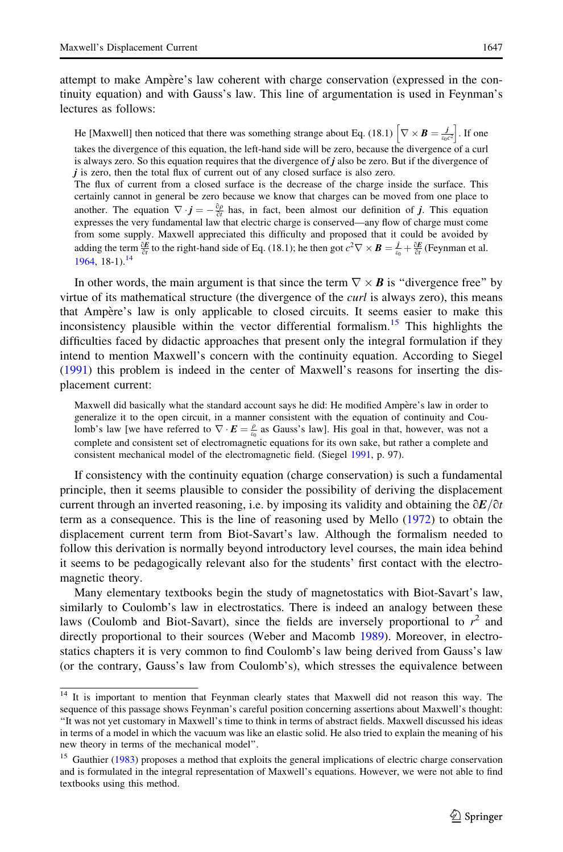attempt to make Ampère's law coherent with charge conservation (expressed in the continuity equation) and with Gauss's law. This line of argumentation is used in Feynman's lectures as follows:

He [Maxwell] then noticed that there was something strange about Eq. (18.1)  $\left[\nabla \times \mathbf{B} = \frac{j}{\epsilon_0 c^2}\right]$ . If one takes the divergence of this equation, the left-hand side will be zero, because the divergence of a curl is always zero. So this equation requires that the divergence of  $j$  also be zero. But if the divergence of  $j$  is zero, then the total flux of current out of any closed surface is also zero.

The flux of current from a closed surface is the decrease of the charge inside the surface. This certainly cannot in general be zero because we know that charges can be moved from one place to another. The equation  $\nabla \cdot \mathbf{j} = -\frac{\partial \rho}{\partial t}$  has, in fact, been almost our definition of j. This equation expresses the very fundamental law that electric charge is conserved—any flow of charge must come from some supply. Maxwell appreciated this difficulty and proposed that it could be avoided by adding the term  $\frac{\partial E}{\partial t}$  to the right-hand side of Eq. (18.1); he then got  $c^2 \nabla \times \mathbf{B} = \frac{i}{\varepsilon_0} + \frac{\partial E}{\partial t}$  (Feynman et al.  $1964, 18-1$  $1964, 18-1$ .<sup>14</sup>

In other words, the main argument is that since the term  $\nabla \times \mathbf{B}$  is "divergence free" by virtue of its mathematical structure (the divergence of the *curl* is always zero), this means that Ampère's law is only applicable to closed circuits. It seems easier to make this inconsistency plausible within the vector differential formalism.<sup>15</sup> This highlights the difficulties faced by didactic approaches that present only the integral formulation if they intend to mention Maxwell's concern with the continuity equation. According to Siegel ([1991\)](#page-24-0) this problem is indeed in the center of Maxwell's reasons for inserting the displacement current:

Maxwell did basically what the standard account says he did: He modified Ampère's law in order to generalize it to the open circuit, in a manner consistent with the equation of continuity and Coulomb's law [we have referred to  $\nabla \cdot \mathbf{E} = \frac{\rho}{\epsilon_0}$  as Gauss's law]. His goal in that, however, was not a complete and consistent set of electromagnetic equations for its own sake, but rather a complete and consistent mechanical model of the electromagnetic field. (Siegel [1991,](#page-24-0) p. 97).

If consistency with the continuity equation (charge conservation) is such a fundamental principle, then it seems plausible to consider the possibility of deriving the displacement current through an inverted reasoning, i.e. by imposing its validity and obtaining the  $\partial E/\partial t$ term as a consequence. This is the line of reasoning used by Mello ([1972\)](#page-24-0) to obtain the displacement current term from Biot-Savart's law. Although the formalism needed to follow this derivation is normally beyond introductory level courses, the main idea behind it seems to be pedagogically relevant also for the students' first contact with the electromagnetic theory.

Many elementary textbooks begin the study of magnetostatics with Biot-Savart's law, similarly to Coulomb's law in electrostatics. There is indeed an analogy between these laws (Coulomb and Biot-Savart), since the fields are inversely proportional to  $r^2$  and directly proportional to their sources (Weber and Macomb [1989\)](#page-24-0). Moreover, in electrostatics chapters it is very common to find Coulomb's law being derived from Gauss's law (or the contrary, Gauss's law from Coulomb's), which stresses the equivalence between

<sup>&</sup>lt;sup>14</sup> It is important to mention that Feynman clearly states that Maxwell did not reason this way. The sequence of this passage shows Feynman's careful position concerning assertions about Maxwell's thought: ''It was not yet customary in Maxwell's time to think in terms of abstract fields. Maxwell discussed his ideas in terms of a model in which the vacuum was like an elastic solid. He also tried to explain the meaning of his new theory in terms of the mechanical model''.

<sup>&</sup>lt;sup>15</sup> Gauthier [\(1983](#page-24-0)) proposes a method that exploits the general implications of electric charge conservation and is formulated in the integral representation of Maxwell's equations. However, we were not able to find textbooks using this method.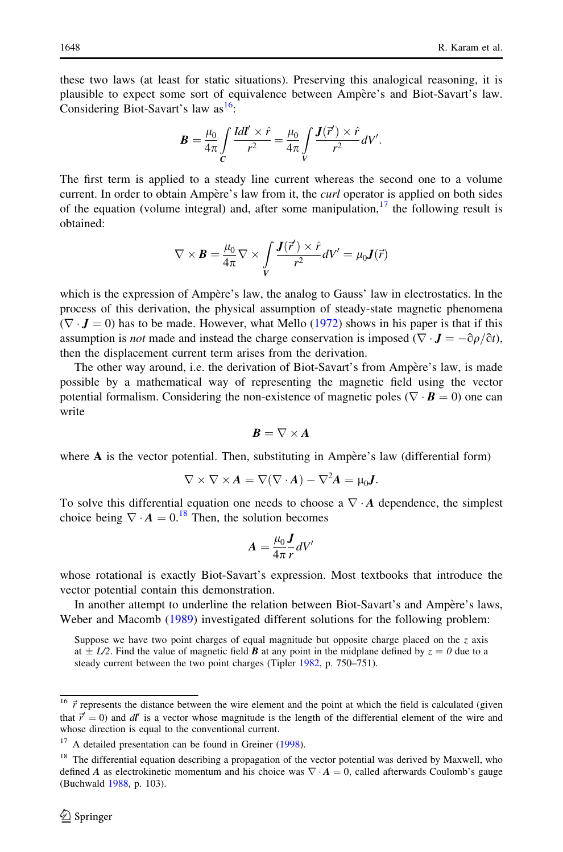these two laws (at least for static situations). Preserving this analogical reasoning, it is plausible to expect some sort of equivalence between Ampère's and Biot-Savart's law. Considering Biot-Savart's law as  $16$ :

$$
\boldsymbol{B} = \frac{\mu_0}{4\pi} \int\limits_C \frac{Id\boldsymbol{l}' \times \hat{\boldsymbol{r}}}{r^2} = \frac{\mu_0}{4\pi} \int\limits_V \frac{\boldsymbol{J}(\vec{\boldsymbol{r}}') \times \hat{\boldsymbol{r}}}{r^2} dV'.
$$

The first term is applied to a steady line current whereas the second one to a volume current. In order to obtain Ampère's law from it, the *curl* operator is applied on both sides of the equation (volume integral) and, after some manipulation,  $17$  the following result is obtained:

$$
\nabla \times \boldsymbol{B} = \frac{\mu_0}{4\pi} \nabla \times \int\limits_V \frac{\boldsymbol{J}(\vec{r}') \times \hat{r}}{r^2} dV' = \mu_0 \boldsymbol{J}(\vec{r})
$$

which is the expression of Ampère's law, the analog to Gauss' law in electrostatics. In the process of this derivation, the physical assumption of steady-state magnetic phenomena  $(\nabla \cdot \mathbf{J} = 0)$  has to be made. However, what Mello [\(1972](#page-24-0)) shows in his paper is that if this assumption is *not* made and instead the charge conservation is imposed ( $\nabla \cdot \mathbf{J} = -\partial \rho / \partial t$ ), then the displacement current term arises from the derivation.

The other way around, i.e. the derivation of Biot-Savart's from Ampère's law, is made possible by a mathematical way of representing the magnetic field using the vector potential formalism. Considering the non-existence of magnetic poles ( $\nabla \cdot \mathbf{B} = 0$ ) one can write

$$
\bm{B}=\nabla\times\bm{A}
$$

where  $\bf{A}$  is the vector potential. Then, substituting in Ampère's law (differential form)

$$
\nabla \times \nabla \times A = \nabla (\nabla \cdot A) - \nabla^2 A = \mu_0 J.
$$

To solve this differential equation one needs to choose a  $\nabla \cdot A$  dependence, the simplest choice being  $\nabla \cdot A = 0.18$  Then, the solution becomes

$$
A = \frac{\mu_0}{4\pi} \frac{J}{r} dV'
$$

whose rotational is exactly Biot-Savart's expression. Most textbooks that introduce the vector potential contain this demonstration.

In another attempt to underline the relation between Biot-Savart's and Ampère's laws, Weber and Macomb [\(1989](#page-24-0)) investigated different solutions for the following problem:

Suppose we have two point charges of equal magnitude but opposite charge placed on the z axis at  $\pm$  L/2. Find the value of magnetic field **B** at any point in the midplane defined by  $z = 0$  due to a steady current between the two point charges (Tipler [1982](#page-24-0), p. 750–751).

 $\frac{16}{r}$  represents the distance between the wire element and the point at which the field is calculated (given that  $\vec{r}' = 0$ ) and  $dl'$  is a vector whose magnitude is the length of the differential element of the wire and whose direction is equal to the conventional current.

<sup>&</sup>lt;sup>17</sup> A detailed presentation can be found in Greiner [\(1998](#page-24-0)).

<sup>&</sup>lt;sup>18</sup> The differential equation describing a propagation of the vector potential was derived by Maxwell, who defined A as electrokinetic momentum and his choice was  $\nabla \cdot A = 0$ , called afterwards Coulomb's gauge (Buchwald [1988](#page-23-0), p. 103).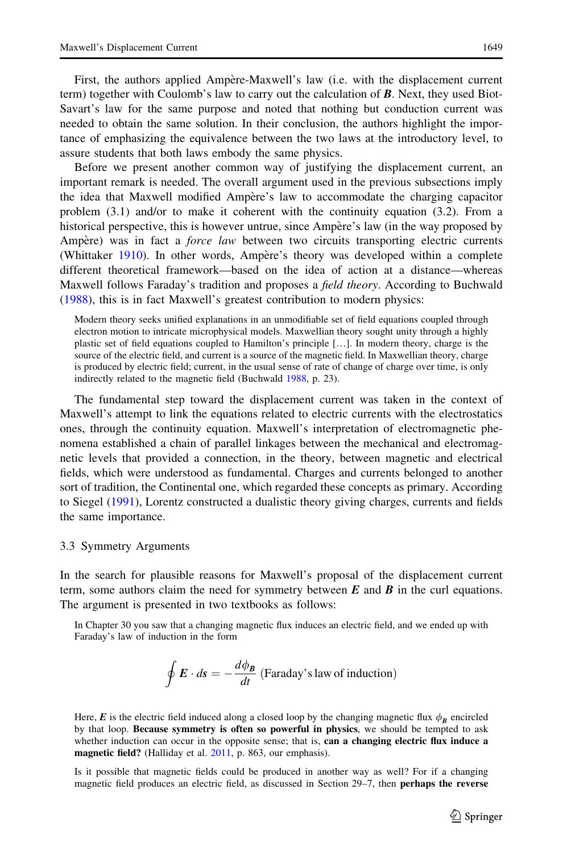First, the authors applied Ampère-Maxwell's law (i.e. with the displacement current term) together with Coulomb's law to carry out the calculation of  $\bm{B}$ . Next, they used Biot-Savart's law for the same purpose and noted that nothing but conduction current was needed to obtain the same solution. In their conclusion, the authors highlight the importance of emphasizing the equivalence between the two laws at the introductory level, to assure students that both laws embody the same physics.

Before we present another common way of justifying the displacement current, an important remark is needed. The overall argument used in the previous subsections imply the idea that Maxwell modified Ampère's law to accommodate the charging capacitor problem (3.1) and/or to make it coherent with the continuity equation (3.2). From a historical perspective, this is however untrue, since Ampère's law (in the way proposed by Ampère) was in fact a *force law* between two circuits transporting electric currents (Whittaker [1910](#page-24-0)). In other words, Ampère's theory was developed within a complete different theoretical framework—based on the idea of action at a distance—whereas Maxwell follows Faraday's tradition and proposes a *field theory*. According to Buchwald ([1988\)](#page-23-0), this is in fact Maxwell's greatest contribution to modern physics:

Modern theory seeks unified explanations in an unmodifiable set of field equations coupled through electron motion to intricate microphysical models. Maxwellian theory sought unity through a highly plastic set of field equations coupled to Hamilton's principle […]. In modern theory, charge is the source of the electric field, and current is a source of the magnetic field. In Maxwellian theory, charge is produced by electric field; current, in the usual sense of rate of change of charge over time, is only indirectly related to the magnetic field (Buchwald [1988](#page-23-0), p. 23).

The fundamental step toward the displacement current was taken in the context of Maxwell's attempt to link the equations related to electric currents with the electrostatics ones, through the continuity equation. Maxwell's interpretation of electromagnetic phenomena established a chain of parallel linkages between the mechanical and electromagnetic levels that provided a connection, in the theory, between magnetic and electrical fields, which were understood as fundamental. Charges and currents belonged to another sort of tradition, the Continental one, which regarded these concepts as primary. According to Siegel ([1991](#page-24-0)), Lorentz constructed a dualistic theory giving charges, currents and fields the same importance.

#### 3.3 Symmetry Arguments

In the search for plausible reasons for Maxwell's proposal of the displacement current term, some authors claim the need for symmetry between  $E$  and  $\hat{B}$  in the curl equations. The argument is presented in two textbooks as follows:

In Chapter 30 you saw that a changing magnetic flux induces an electric field, and we ended up with Faraday's law of induction in the form

$$
\oint \boldsymbol{E} \cdot d\boldsymbol{s} = -\frac{d\phi_B}{dt}
$$
 (Faraday's law of induction)

Here, E is the electric field induced along a closed loop by the changing magnetic flux  $\phi_B$  encircled by that loop. Because symmetry is often so powerful in physics, we should be tempted to ask whether induction can occur in the opposite sense; that is, can a changing electric flux induce a magnetic field? (Halliday et al. [2011,](#page-24-0) p. 863, our emphasis).

Is it possible that magnetic fields could be produced in another way as well? For if a changing magnetic field produces an electric field, as discussed in Section 29–7, then perhaps the reverse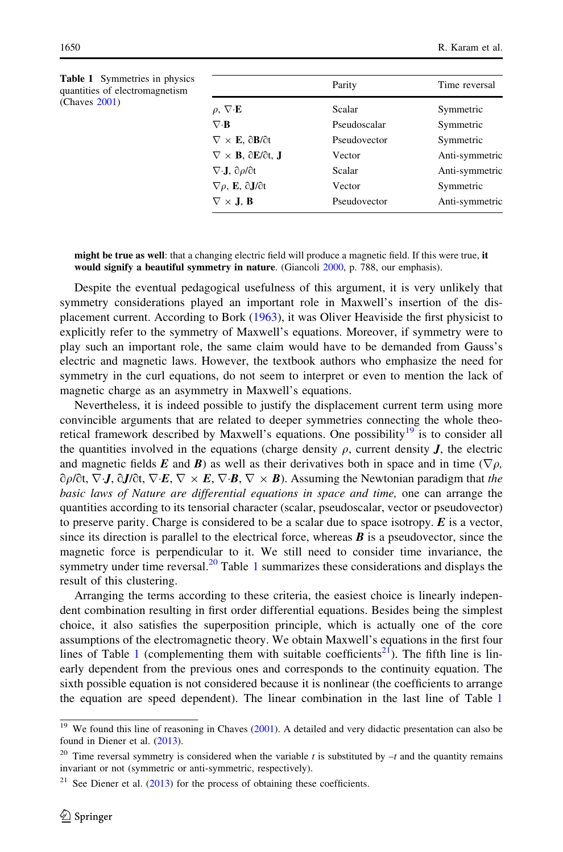| Parity<br>ctromagnetism                                                     |                                |
|-----------------------------------------------------------------------------|--------------------------------|
| $\rho, \nabla \cdot \mathbf{E}$<br>Scalar                                   | Symmetric                      |
| $\nabla \cdot \mathbf{B}$                                                   | Symmetric<br>Pseudoscalar      |
| $\nabla \times \mathbf{E}$ , $\partial \mathbf{B}/\partial t$               | Pseudovector<br>Symmetric      |
| $\nabla \times \mathbf{B}$ , $\partial \mathbf{E}/\partial t$ , J<br>Vector | Anti-symmetric                 |
| $\nabla \cdot \mathbf{J}$ , $\partial \rho / \partial t$<br>Scalar          | Anti-symmetric                 |
| $\nabla \rho$ , E, $\partial J/\partial t$<br>Vector                        | Symmetric                      |
| $\nabla \times \mathbf{J}$ , <b>B</b>                                       | Pseudovector<br>Anti-symmetric |

Table 1 Symm quantities of ele (Chaves [2001](#page-24-0))

> might be true as well: that a changing electric field will produce a magnetic field. If this were true, it would signify a beautiful symmetry in nature. (Giancoli [2000](#page-24-0), p. 788, our emphasis).

Despite the eventual pedagogical usefulness of this argument, it is very unlikely that symmetry considerations played an important role in Maxwell's insertion of the displacement current. According to Bork ([1963\)](#page-23-0), it was Oliver Heaviside the first physicist to explicitly refer to the symmetry of Maxwell's equations. Moreover, if symmetry were to play such an important role, the same claim would have to be demanded from Gauss's electric and magnetic laws. However, the textbook authors who emphasize the need for symmetry in the curl equations, do not seem to interpret or even to mention the lack of magnetic charge as an asymmetry in Maxwell's equations.

Nevertheless, it is indeed possible to justify the displacement current term using more convincible arguments that are related to deeper symmetries connecting the whole theoretical framework described by Maxwell's equations. One possibility<sup>19</sup> is to consider all the quantities involved in the equations (charge density  $\rho$ , current density  $J$ , the electric and magnetic fields E and B) as well as their derivatives both in space and in time ( $\nabla \rho$ ,  $\partial \rho/\partial t$ ,  $\nabla J$ ,  $\partial J/\partial t$ ,  $\nabla \mathbf{E}$ ,  $\nabla \times \mathbf{E}$ ,  $\nabla \cdot \mathbf{B}$ ,  $\nabla \times \mathbf{B}$ ). Assuming the Newtonian paradigm that the basic laws of Nature are differential equations in space and time, one can arrange the quantities according to its tensorial character (scalar, pseudoscalar, vector or pseudovector) to preserve parity. Charge is considered to be a scalar due to space isotropy.  $E$  is a vector, since its direction is parallel to the electrical force, whereas  $\bm{B}$  is a pseudovector, since the magnetic force is perpendicular to it. We still need to consider time invariance, the symmetry under time reversal.<sup>20</sup> Table 1 summarizes these considerations and displays the result of this clustering.

Arranging the terms according to these criteria, the easiest choice is linearly independent combination resulting in first order differential equations. Besides being the simplest choice, it also satisfies the superposition principle, which is actually one of the core assumptions of the electromagnetic theory. We obtain Maxwell's equations in the first four lines of Table 1 (complementing them with suitable coefficients<sup>21</sup>). The fifth line is linearly dependent from the previous ones and corresponds to the continuity equation. The sixth possible equation is not considered because it is nonlinear (the coefficients to arrange the equation are speed dependent). The linear combination in the last line of Table 1

<sup>&</sup>lt;sup>19</sup> We found this line of reasoning in Chaves [\(2001](#page-24-0)). A detailed and very didactic presentation can also be found in Diener et al. ([2013\)](#page-24-0).

<sup>&</sup>lt;sup>20</sup> Time reversal symmetry is considered when the variable t is substituted by  $-t$  and the quantity remains invariant or not (symmetric or anti-symmetric, respectively).

 $21$  See Diener et al. ([2013\)](#page-24-0) for the process of obtaining these coefficients.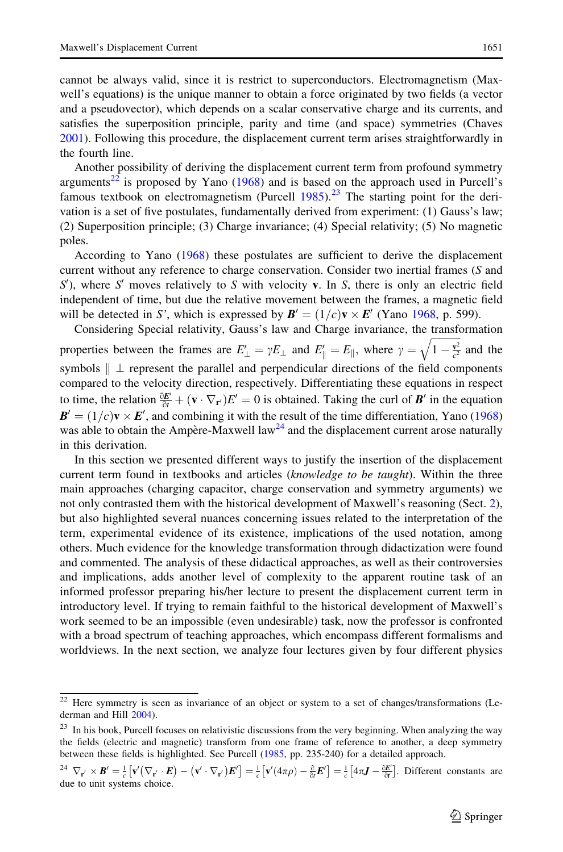cannot be always valid, since it is restrict to superconductors. Electromagnetism (Maxwell's equations) is the unique manner to obtain a force originated by two fields (a vector and a pseudovector), which depends on a scalar conservative charge and its currents, and satisfies the superposition principle, parity and time (and space) symmetries (Chaves [2001\)](#page-24-0). Following this procedure, the displacement current term arises straightforwardly in the fourth line.

Another possibility of deriving the displacement current term from profound symmetry arguments<sup>22</sup> is proposed by Yano  $(1968)$  $(1968)$  and is based on the approach used in Purcell's famous textbook on electromagnetism (Purcell  $1985$ ).<sup>23</sup> The starting point for the derivation is a set of five postulates, fundamentally derived from experiment: (1) Gauss's law; (2) Superposition principle; (3) Charge invariance; (4) Special relativity; (5) No magnetic poles.

According to Yano [\(1968](#page-24-0)) these postulates are sufficient to derive the displacement current without any reference to charge conservation. Consider two inertial frames (S and  $S'$ ), where S' moves relatively to S with velocity v. In S, there is only an electric field independent of time, but due the relative movement between the frames, a magnetic field will be detected in S', which is expressed by  $B' = (1/c)v \times E'$  (Yano [1968](#page-24-0), p. 599).

Considering Special relativity, Gauss's law and Charge invariance, the transformation properties between the frames are  $E'_{\perp} = \gamma E_{\perp}$  and  $E'_{\parallel} = E_{\parallel}$ , where  $\gamma =$  $\frac{\mathbf{v}^2}{c^2}$  $\overline{a}$ and the symbols  $\parallel$   $\perp$  represent the parallel and perpendicular directions of the field components compared to the velocity direction, respectively. Differentiating these equations in respect to time, the relation  $\frac{\partial E'}{\partial t} + (\mathbf{v} \cdot \nabla_{\mathbf{r}'})E' = 0$  is obtained. Taking the curl of  $\mathbf{B}'$  in the equation  $\mathbf{B}' = (1/c)\mathbf{v} \times \mathbf{E}'$ , and combining it with the result of the time differentiation, Yano ([1968](#page-24-0)) was able to obtain the Ampère-Maxwell law<sup>24</sup> and the displacement current arose naturally in this derivation.

In this section we presented different ways to justify the insertion of the displacement current term found in textbooks and articles (knowledge to be taught). Within the three main approaches (charging capacitor, charge conservation and symmetry arguments) we not only contrasted them with the historical development of Maxwell's reasoning (Sect. [2](#page-1-0)), but also highlighted several nuances concerning issues related to the interpretation of the term, experimental evidence of its existence, implications of the used notation, among others. Much evidence for the knowledge transformation through didactization were found and commented. The analysis of these didactical approaches, as well as their controversies and implications, adds another level of complexity to the apparent routine task of an informed professor preparing his/her lecture to present the displacement current term in introductory level. If trying to remain faithful to the historical development of Maxwell's work seemed to be an impossible (even undesirable) task, now the professor is confronted with a broad spectrum of teaching approaches, which encompass different formalisms and worldviews. In the next section, we analyze four lectures given by four different physics

 $\overline{22}$  Here symmetry is seen as invariance of an object or system to a set of changes/transformations (Lederman and Hill [2004](#page-24-0)).

<sup>&</sup>lt;sup>23</sup> In his book, Purcell focuses on relativistic discussions from the very beginning. When analyzing the way the fields (electric and magnetic) transform from one frame of reference to another, a deep symmetry between these fields is highlighted. See Purcell ([1985,](#page-24-0) pp. 235-240) for a detailed approach.

 $2^{24} \nabla_{\mathbf{r'}} \times \mathbf{B'} = \frac{1}{c} [\mathbf{v'}(\nabla_{\mathbf{r'}} \cdot \mathbf{E}) - (\mathbf{v'} \cdot \nabla_{\mathbf{r'}})\mathbf{E'}] = \frac{1}{c} [\mathbf{v'}(4\pi\rho) - \frac{\partial}{\partial t} \mathbf{E'}] = \frac{1}{c} [4\pi\mathbf{J} - \frac{\partial \mathbf{E'}}{\partial t}]$ . Different constants are due to unit systems choice.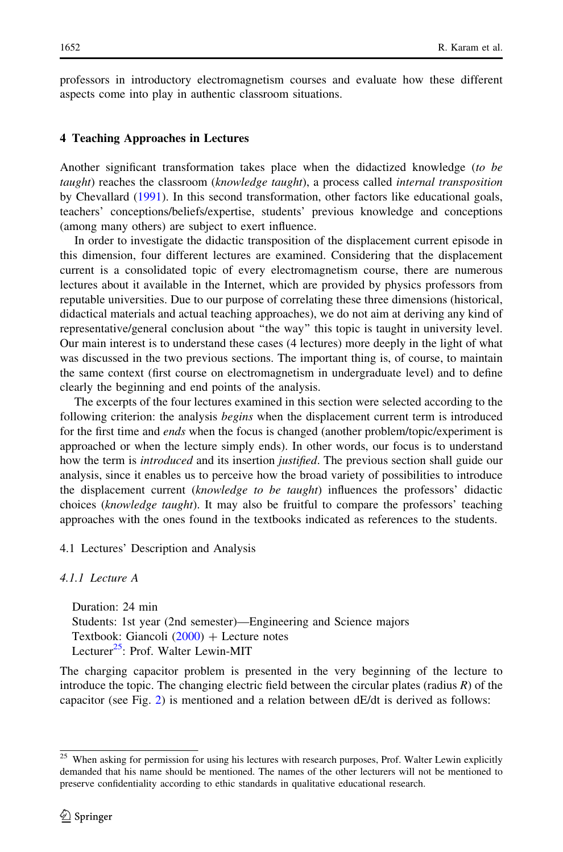<span id="page-15-0"></span>professors in introductory electromagnetism courses and evaluate how these different aspects come into play in authentic classroom situations.

#### 4 Teaching Approaches in Lectures

Another significant transformation takes place when the didactized knowledge (to be taught) reaches the classroom (knowledge taught), a process called internal transposition by Chevallard [\(1991](#page-24-0)). In this second transformation, other factors like educational goals, teachers' conceptions/beliefs/expertise, students' previous knowledge and conceptions (among many others) are subject to exert influence.

In order to investigate the didactic transposition of the displacement current episode in this dimension, four different lectures are examined. Considering that the displacement current is a consolidated topic of every electromagnetism course, there are numerous lectures about it available in the Internet, which are provided by physics professors from reputable universities. Due to our purpose of correlating these three dimensions (historical, didactical materials and actual teaching approaches), we do not aim at deriving any kind of representative/general conclusion about ''the way'' this topic is taught in university level. Our main interest is to understand these cases (4 lectures) more deeply in the light of what was discussed in the two previous sections. The important thing is, of course, to maintain the same context (first course on electromagnetism in undergraduate level) and to define clearly the beginning and end points of the analysis.

The excerpts of the four lectures examined in this section were selected according to the following criterion: the analysis *begins* when the displacement current term is introduced for the first time and *ends* when the focus is changed (another problem/topic/experiment is approached or when the lecture simply ends). In other words, our focus is to understand how the term is *introduced* and its insertion *justified*. The previous section shall guide our analysis, since it enables us to perceive how the broad variety of possibilities to introduce the displacement current (knowledge to be taught) influences the professors' didactic choices (knowledge taught). It may also be fruitful to compare the professors' teaching approaches with the ones found in the textbooks indicated as references to the students.

4.1 Lectures' Description and Analysis

# 4.1.1 Lecture A

Duration: 24 min Students: 1st year (2nd semester)—Engineering and Science majors Textbook: Giancoli  $(2000)$  $(2000)$  + Lecture notes Lecturer<sup>25</sup>: Prof. Walter Lewin-MIT

The charging capacitor problem is presented in the very beginning of the lecture to introduce the topic. The changing electric field between the circular plates (radius  $R$ ) of the capacitor (see Fig. [2](#page-16-0)) is mentioned and a relation between dE/dt is derived as follows:

<sup>&</sup>lt;sup>25</sup> When asking for permission for using his lectures with research purposes, Prof. Walter Lewin explicitly demanded that his name should be mentioned. The names of the other lecturers will not be mentioned to preserve confidentiality according to ethic standards in qualitative educational research.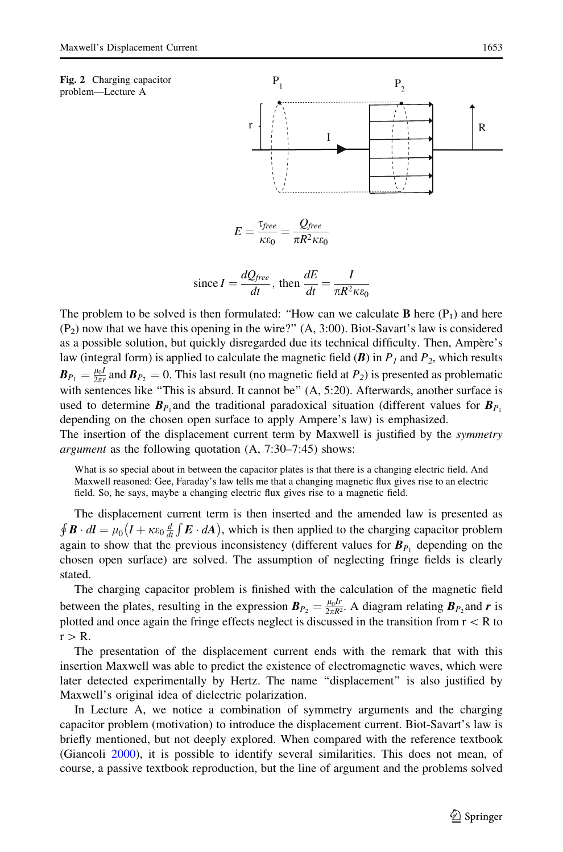<span id="page-16-0"></span>



since 
$$
I = \frac{dQ_{free}}{dt}
$$
, then  $\frac{dE}{dt} = \frac{I}{\pi R^2 \kappa \varepsilon_0}$ 

The problem to be solved is then formulated: "How can we calculate **B** here  $(P_1)$  and here  $(P_2)$  now that we have this opening in the wire?"  $(A, 3:00)$ . Biot-Savart's law is considered as a possible solution, but quickly disregarded due its technical difficulty. Then, Ampère's law (integral form) is applied to calculate the magnetic field  $(B)$  in  $P_1$  and  $P_2$ , which results  $\bm{B}_{P_1} = \frac{\mu_0 I}{2\pi r}$  and  $\bm{B}_{P_2} = 0$ . This last result (no magnetic field at  $P_2$ ) is presented as problematic with sentences like "This is absurd. It cannot be" (A, 5:20). Afterwards, another surface is used to determine  $B_{P_1}$  and the traditional paradoxical situation (different values for  $B_{P_1}$ depending on the chosen open surface to apply Ampere's law) is emphasized.

The insertion of the displacement current term by Maxwell is justified by the *symmetry* argument as the following quotation (A, 7:30–7:45) shows:

What is so special about in between the capacitor plates is that there is a changing electric field. And Maxwell reasoned: Gee, Faraday's law tells me that a changing magnetic flux gives rise to an electric field. So, he says, maybe a changing electric flux gives rise to a magnetic field.

The displacement current term is then inserted and the amended law is presented as  $\oint \mathbf{B} \cdot d\mathbf{l} = \mu_0 \left( I + \kappa \varepsilon_0 \frac{d}{dt} \right)$  $(I + \kappa \varepsilon_0 \frac{d}{dt} \int \mathbf{E} \cdot d\mathbf{A})$ , which is then applied to the charging capacitor problem again to show that the previous inconsistency (different values for  $B_{P_1}$  depending on the chosen open surface) are solved. The assumption of neglecting fringe fields is clearly stated.

The charging capacitor problem is finished with the calculation of the magnetic field between the plates, resulting in the expression  $B_{P_2} = \frac{\mu_0 Ir}{2\pi R^2}$ . A diagram relating  $B_{P_2}$  and r is plotted and once again the fringe effects neglect is discussed in the transition from  $r < R$  to  $r>R$ .

The presentation of the displacement current ends with the remark that with this insertion Maxwell was able to predict the existence of electromagnetic waves, which were later detected experimentally by Hertz. The name ''displacement'' is also justified by Maxwell's original idea of dielectric polarization.

In Lecture A, we notice a combination of symmetry arguments and the charging capacitor problem (motivation) to introduce the displacement current. Biot-Savart's law is briefly mentioned, but not deeply explored. When compared with the reference textbook (Giancoli [2000\)](#page-24-0), it is possible to identify several similarities. This does not mean, of course, a passive textbook reproduction, but the line of argument and the problems solved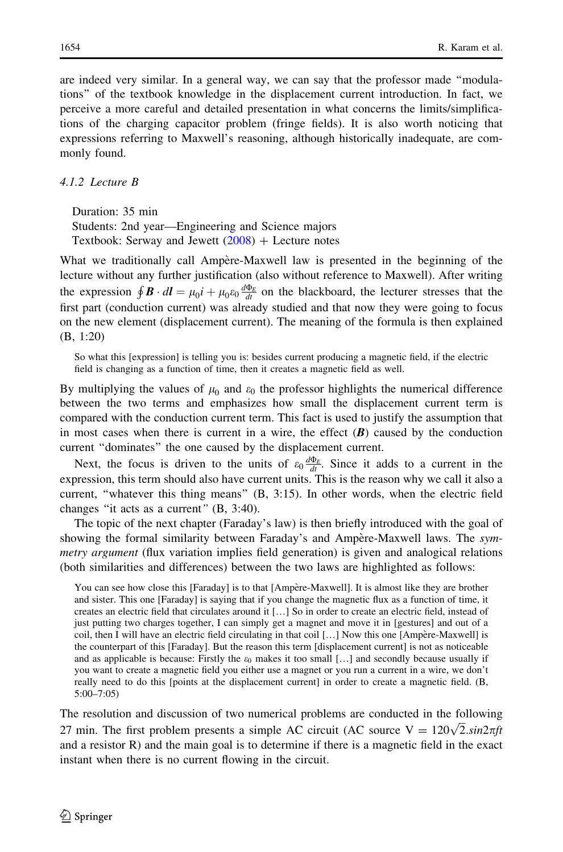are indeed very similar. In a general way, we can say that the professor made ''modulations'' of the textbook knowledge in the displacement current introduction. In fact, we perceive a more careful and detailed presentation in what concerns the limits/simplifications of the charging capacitor problem (fringe fields). It is also worth noticing that expressions referring to Maxwell's reasoning, although historically inadequate, are commonly found.

# 4.1.2 Lecture B

Duration: 35 min Students: 2nd year—Engineering and Science majors Textbook: Serway and Jewett  $(2008)$  $(2008)$  + Lecture notes

What we traditionally call Ampère-Maxwell law is presented in the beginning of the lecture without any further justification (also without reference to Maxwell). After writing the expression  $\oint \vec{B} \cdot d\vec{l} = \mu_0 i + \mu_0 \varepsilon_0 \frac{d\Phi_E}{dt}$  on the blackboard, the lecturer stresses that the first part (conduction current) was already studied and that now they were going to focus on the new element (displacement current). The meaning of the formula is then explained (B, 1:20)

So what this [expression] is telling you is: besides current producing a magnetic field, if the electric field is changing as a function of time, then it creates a magnetic field as well.

By multiplying the values of  $\mu_0$  and  $\varepsilon_0$  the professor highlights the numerical difference between the two terms and emphasizes how small the displacement current term is compared with the conduction current term. This fact is used to justify the assumption that in most cases when there is current in a wire, the effect  $(B)$  caused by the conduction current ''dominates'' the one caused by the displacement current.

Next, the focus is driven to the units of  $\varepsilon_0 \frac{d\Phi_E}{dt}$ . Since it adds to a current in the expression, this term should also have current units. This is the reason why we call it also a current, ''whatever this thing means'' (B, 3:15). In other words, when the electric field changes ''it acts as a current'' (B, 3:40).

The topic of the next chapter (Faraday's law) is then briefly introduced with the goal of showing the formal similarity between Faraday's and Ampère-Maxwell laws. The symmetry argument (flux variation implies field generation) is given and analogical relations (both similarities and differences) between the two laws are highlighted as follows:

You can see how close this [Faraday] is to that [Ampère-Maxwell]. It is almost like they are brother and sister. This one [Faraday] is saying that if you change the magnetic flux as a function of time, it creates an electric field that circulates around it […] So in order to create an electric field, instead of just putting two charges together, I can simply get a magnet and move it in [gestures] and out of a coil, then I will have an electric field circulating in that coil  $[...]$  Now this one [Ampère-Maxwell] is the counterpart of this [Faraday]. But the reason this term [displacement current] is not as noticeable and as applicable is because: Firstly the  $\varepsilon_0$  makes it too small [...] and secondly because usually if you want to create a magnetic field you either use a magnet or you run a current in a wire, we don't really need to do this [points at the displacement current] in order to create a magnetic field. (B, 5:00–7:05)

The resolution and discussion of two numerical problems are conducted in the following 27 min. The first problem presents a simple AC circuit (AC source  $V = 120\sqrt{2} \sin 2\pi ft$ and a resistor  $R$ ) and the main goal is to determine if there is a magnetic field in the exact instant when there is no current flowing in the circuit.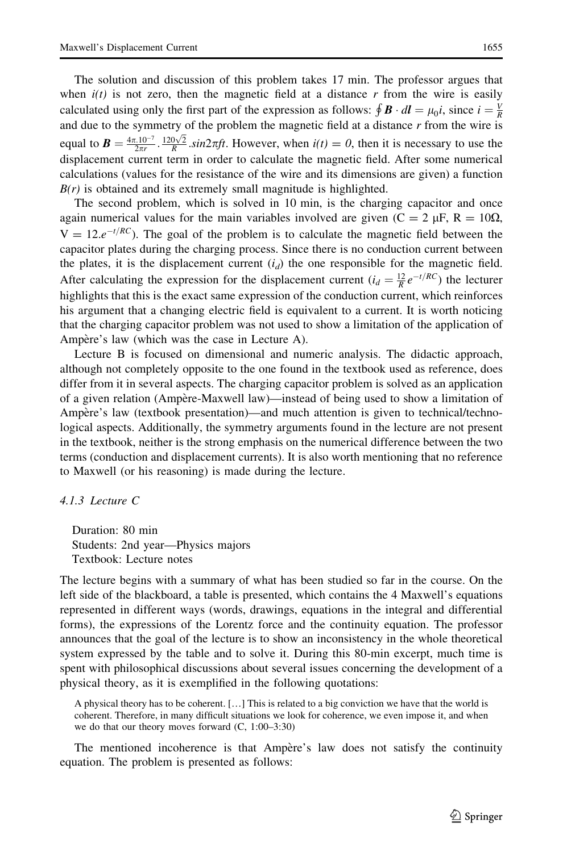The solution and discussion of this problem takes 17 min. The professor argues that when  $i(t)$  is not zero, then the magnetic field at a distance r from the wire is easily calculated using only the first part of the expression as follows:  $\oint \mathbf{B} \cdot d\mathbf{l} = \mu_0 i$ , since  $i = \frac{V}{R}$ and due to the symmetry of the problem the magnetic field at a distance  $r$  from the wire is equal to  $\mathbf{B} = \frac{4\pi.10^{-7}}{2\pi r} \cdot \frac{120\sqrt{2}}{R} \cdot \sin 2\pi ft$ . However, when  $i(t) = 0$ , then it is necessary to use the displacement current term in order to calculate the magnetic field. After some numerical calculations (values for the resistance of the wire and its dimensions are given) a function  $B(r)$  is obtained and its extremely small magnitude is highlighted.

The second problem, which is solved in 10 min, is the charging capacitor and once again numerical values for the main variables involved are given  $(C = 2 \mu F, R = 10\Omega,$  $V = 12.e^{-t/RC}$ ). The goal of the problem is to calculate the magnetic field between the capacitor plates during the charging process. Since there is no conduction current between the plates, it is the displacement current  $(i_d)$  the one responsible for the magnetic field. After calculating the expression for the displacement current  $(i_d = \frac{12}{R}e^{-t/RC})$  the lecturer highlights that this is the exact same expression of the conduction current, which reinforces his argument that a changing electric field is equivalent to a current. It is worth noticing that the charging capacitor problem was not used to show a limitation of the application of Ampère's law (which was the case in Lecture A).

Lecture B is focused on dimensional and numeric analysis. The didactic approach, although not completely opposite to the one found in the textbook used as reference, does differ from it in several aspects. The charging capacitor problem is solved as an application of a given relation (Ampère-Maxwell law)—instead of being used to show a limitation of Ampère's law (textbook presentation)—and much attention is given to technical/technological aspects. Additionally, the symmetry arguments found in the lecture are not present in the textbook, neither is the strong emphasis on the numerical difference between the two terms (conduction and displacement currents). It is also worth mentioning that no reference to Maxwell (or his reasoning) is made during the lecture.

# 4.1.3 Lecture C

Duration: 80 min Students: 2nd year—Physics majors Textbook: Lecture notes

The lecture begins with a summary of what has been studied so far in the course. On the left side of the blackboard, a table is presented, which contains the 4 Maxwell's equations represented in different ways (words, drawings, equations in the integral and differential forms), the expressions of the Lorentz force and the continuity equation. The professor announces that the goal of the lecture is to show an inconsistency in the whole theoretical system expressed by the table and to solve it. During this 80-min excerpt, much time is spent with philosophical discussions about several issues concerning the development of a physical theory, as it is exemplified in the following quotations:

A physical theory has to be coherent. […] This is related to a big conviction we have that the world is coherent. Therefore, in many difficult situations we look for coherence, we even impose it, and when we do that our theory moves forward (C, 1:00–3:30)

The mentioned incoherence is that Ampère's law does not satisfy the continuity equation. The problem is presented as follows: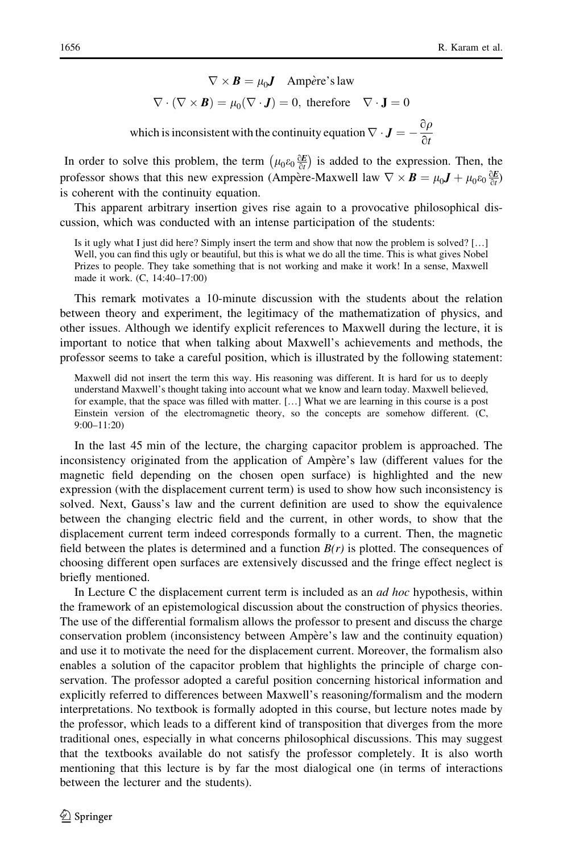$\nabla \times \mathbf{B} = \mu_0 \mathbf{J}$  Ampère's law  $\nabla \cdot (\nabla \times \mathbf{B}) = \mu_0(\nabla \cdot \mathbf{J}) = 0$ , therefore  $\nabla \cdot \mathbf{J} = 0$ 

which is inconsistent with the continuity equation  $\nabla \cdot \mathbf{J} = -\frac{\partial \rho}{\partial t}$ 

In order to solve this problem, the term  $\left(\mu_0 \varepsilon_0 \frac{\partial E}{\partial t}\right)$  $(\mu_0 \varepsilon_0 \frac{\partial E}{\partial t})$  is added to the expression. Then, the professor shows that this new expression (Ampère-Maxwell law  $\nabla \times \mathbf{B} = \mu_0 \mathbf{J} + \mu_0 \varepsilon_0 \frac{\partial E}{\partial t}$ ) is coherent with the continuity equation.

This apparent arbitrary insertion gives rise again to a provocative philosophical discussion, which was conducted with an intense participation of the students:

Is it ugly what I just did here? Simply insert the term and show that now the problem is solved? […] Well, you can find this ugly or beautiful, but this is what we do all the time. This is what gives Nobel Prizes to people. They take something that is not working and make it work! In a sense, Maxwell made it work. (C, 14:40–17:00)

This remark motivates a 10-minute discussion with the students about the relation between theory and experiment, the legitimacy of the mathematization of physics, and other issues. Although we identify explicit references to Maxwell during the lecture, it is important to notice that when talking about Maxwell's achievements and methods, the professor seems to take a careful position, which is illustrated by the following statement:

Maxwell did not insert the term this way. His reasoning was different. It is hard for us to deeply understand Maxwell's thought taking into account what we know and learn today. Maxwell believed, for example, that the space was filled with matter. […] What we are learning in this course is a post Einstein version of the electromagnetic theory, so the concepts are somehow different. (C, 9:00–11:20)

In the last 45 min of the lecture, the charging capacitor problem is approached. The inconsistency originated from the application of Ampère's law (different values for the magnetic field depending on the chosen open surface) is highlighted and the new expression (with the displacement current term) is used to show how such inconsistency is solved. Next, Gauss's law and the current definition are used to show the equivalence between the changing electric field and the current, in other words, to show that the displacement current term indeed corresponds formally to a current. Then, the magnetic field between the plates is determined and a function  $B(r)$  is plotted. The consequences of choosing different open surfaces are extensively discussed and the fringe effect neglect is briefly mentioned.

In Lecture C the displacement current term is included as an *ad hoc* hypothesis, within the framework of an epistemological discussion about the construction of physics theories. The use of the differential formalism allows the professor to present and discuss the charge conservation problem (inconsistency between Ampère's law and the continuity equation) and use it to motivate the need for the displacement current. Moreover, the formalism also enables a solution of the capacitor problem that highlights the principle of charge conservation. The professor adopted a careful position concerning historical information and explicitly referred to differences between Maxwell's reasoning/formalism and the modern interpretations. No textbook is formally adopted in this course, but lecture notes made by the professor, which leads to a different kind of transposition that diverges from the more traditional ones, especially in what concerns philosophical discussions. This may suggest that the textbooks available do not satisfy the professor completely. It is also worth mentioning that this lecture is by far the most dialogical one (in terms of interactions between the lecturer and the students).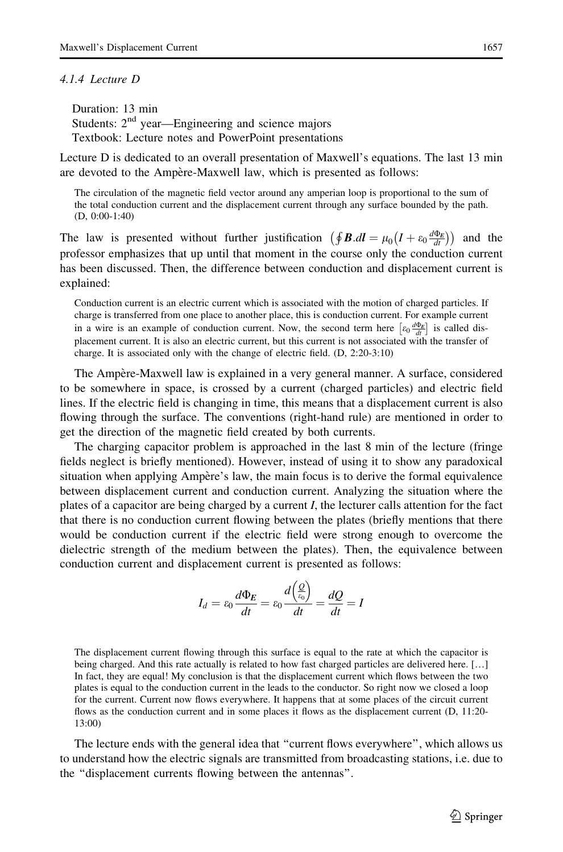#### 4.1.4 Lecture D

Duration: 13 min Students: 2<sup>nd</sup> year—Engineering and science majors Textbook: Lecture notes and PowerPoint presentations

Lecture D is dedicated to an overall presentation of Maxwell's equations. The last 13 min are devoted to the Ampère-Maxwell law, which is presented as follows:

The circulation of the magnetic field vector around any amperian loop is proportional to the sum of the total conduction current and the displacement current through any surface bounded by the path. (D, 0:00-1:40)

The law is presented without further justification  $(\oint \mathbf{B} \cdot d\mathbf{l} = \mu_0 (I + \varepsilon_0 \frac{d\Phi_E}{dt})$  and the professor emphasizes that up until that moment in the course only the conduction current has been discussed. Then, the difference between conduction and displacement current is explained:

Conduction current is an electric current which is associated with the motion of charged particles. If charge is transferred from one place to another place, this is conduction current. For example current in a wire is an example of conduction current. Now, the second term here  $\left[\varepsilon_0 \frac{d\Phi_E}{dt}\right]$  is called displacement current. It is also an electric current, but this current is not associated with the transfer of charge. It is associated only with the change of electric field. (D, 2:20-3:10)

The Ampère-Maxwell law is explained in a very general manner. A surface, considered to be somewhere in space, is crossed by a current (charged particles) and electric field lines. If the electric field is changing in time, this means that a displacement current is also flowing through the surface. The conventions (right-hand rule) are mentioned in order to get the direction of the magnetic field created by both currents.

The charging capacitor problem is approached in the last 8 min of the lecture (fringe fields neglect is briefly mentioned). However, instead of using it to show any paradoxical situation when applying Ampère's law, the main focus is to derive the formal equivalence between displacement current and conduction current. Analyzing the situation where the plates of a capacitor are being charged by a current  $I$ , the lecturer calls attention for the fact that there is no conduction current flowing between the plates (briefly mentions that there would be conduction current if the electric field were strong enough to overcome the dielectric strength of the medium between the plates). Then, the equivalence between conduction current and displacement current is presented as follows:

$$
I_d = \varepsilon_0 \frac{d\Phi_E}{dt} = \varepsilon_0 \frac{d\left(\frac{Q}{\varepsilon_0}\right)}{dt} = \frac{dQ}{dt} = I
$$

The displacement current flowing through this surface is equal to the rate at which the capacitor is being charged. And this rate actually is related to how fast charged particles are delivered here. […] In fact, they are equal! My conclusion is that the displacement current which flows between the two plates is equal to the conduction current in the leads to the conductor. So right now we closed a loop for the current. Current now flows everywhere. It happens that at some places of the circuit current flows as the conduction current and in some places it flows as the displacement current (D, 11:20- 13:00)

The lecture ends with the general idea that ''current flows everywhere'', which allows us to understand how the electric signals are transmitted from broadcasting stations, i.e. due to the ''displacement currents flowing between the antennas''.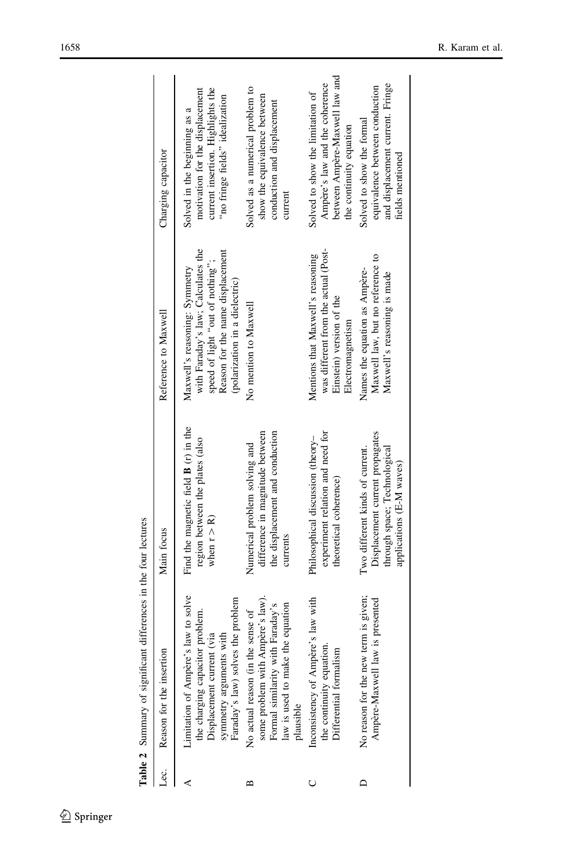<span id="page-21-0"></span>

|      | Table 2 Summary of significant differences in the four lectures                                                                                                     |                                                                                                                                |                                                                                                                                                                               |                                                                                                                                         |
|------|---------------------------------------------------------------------------------------------------------------------------------------------------------------------|--------------------------------------------------------------------------------------------------------------------------------|-------------------------------------------------------------------------------------------------------------------------------------------------------------------------------|-----------------------------------------------------------------------------------------------------------------------------------------|
| Lec. | Reason for the insertion                                                                                                                                            | Main focus                                                                                                                     | Reference to Maxwell                                                                                                                                                          | Charging capacitor                                                                                                                      |
|      | Limitation of Ampère's law to solve<br>Faraday's law) solves the problem<br>the charging capacitor problem.<br>Displacement current (via<br>symmetry arguments with | Find the magnetic field <b>B</b> (r) in the<br>region between the plates (also<br>when $r > R$ )                               | with Faraday's law; Calculates the<br>Reason for the name displacement<br>speed of light "out of nothing";<br>Maxwell's reasoning: Symmetry<br>(polarization in a dielectric) | current insertion. Highlights the<br>motivation for the displacement<br>"no fringe fields" idealization<br>Solved in the beginning as a |
| ≃    | some problem with Ampère's law).<br>Formal similarity with Faraday's<br>equation<br>No actual reason (in the sense of<br>law is used to make the<br>plausible       | difference in magnitude between<br>the displacement and conduction<br>Numerical problem solving and<br>currents                | No mention to Maxwell                                                                                                                                                         | Solved as a numerical problem to<br>show the equivalence between<br>conduction and displacement<br>current                              |
|      | Inconsistency of Ampère's law with<br>the continuity equation.<br>Differential formalism                                                                            | experiment relation and need for<br>Philosophical discussion (theory-<br>theoretical coherence)                                | was different from the actual (Post-<br>Mentions that Maxwell's reasoning<br>Einstein) version of the<br>Electromagnetism                                                     | between Ampère-Maxwell law and<br>Ampère's law and the coherence<br>Solved to show the limitation of<br>the continuity equation         |
|      | No reason for the new term is given;<br>Ampère-Maxwell law is presented                                                                                             | Displacement current propagates<br>through space; Technological<br>Two different kinds of current.<br>applications (E-M waves) | Maxwell law, but no reference to<br>Names the equation as Ampère-<br>Maxwell's reasoning is made                                                                              | and displacement current. Fringe<br>equivalence between conduction<br>Solved to show the formal<br>fields mentioned                     |
|      |                                                                                                                                                                     |                                                                                                                                |                                                                                                                                                                               |                                                                                                                                         |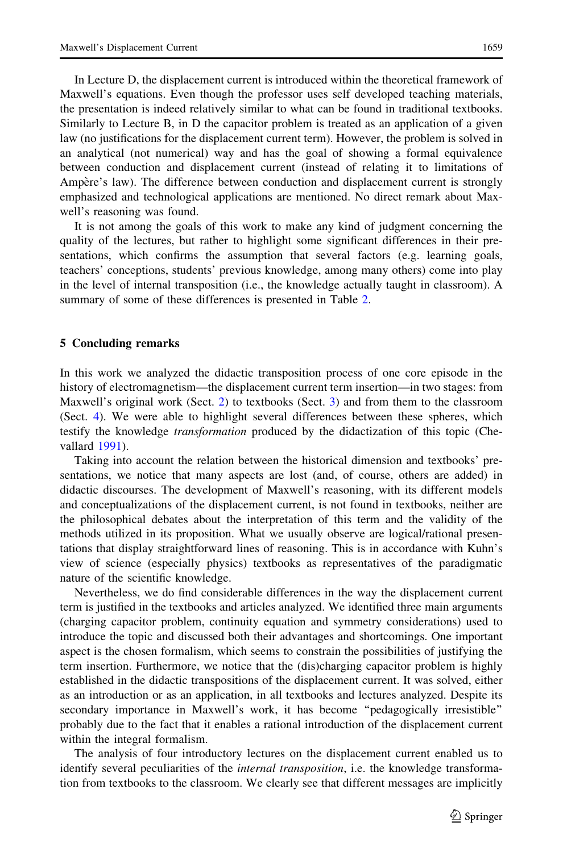In Lecture D, the displacement current is introduced within the theoretical framework of Maxwell's equations. Even though the professor uses self developed teaching materials, the presentation is indeed relatively similar to what can be found in traditional textbooks. Similarly to Lecture B, in D the capacitor problem is treated as an application of a given law (no justifications for the displacement current term). However, the problem is solved in an analytical (not numerical) way and has the goal of showing a formal equivalence between conduction and displacement current (instead of relating it to limitations of Ampère's law). The difference between conduction and displacement current is strongly emphasized and technological applications are mentioned. No direct remark about Maxwell's reasoning was found.

It is not among the goals of this work to make any kind of judgment concerning the quality of the lectures, but rather to highlight some significant differences in their presentations, which confirms the assumption that several factors (e.g. learning goals, teachers' conceptions, students' previous knowledge, among many others) come into play in the level of internal transposition (i.e., the knowledge actually taught in classroom). A summary of some of these differences is presented in Table [2](#page-21-0).

#### 5 Concluding remarks

In this work we analyzed the didactic transposition process of one core episode in the history of electromagnetism—the displacement current term insertion—in two stages: from Maxwell's original work (Sect. [2](#page-1-0)) to textbooks (Sect. [3\)](#page-7-0) and from them to the classroom (Sect. [4\)](#page-15-0). We were able to highlight several differences between these spheres, which testify the knowledge transformation produced by the didactization of this topic (Chevallard [1991](#page-24-0)).

Taking into account the relation between the historical dimension and textbooks' presentations, we notice that many aspects are lost (and, of course, others are added) in didactic discourses. The development of Maxwell's reasoning, with its different models and conceptualizations of the displacement current, is not found in textbooks, neither are the philosophical debates about the interpretation of this term and the validity of the methods utilized in its proposition. What we usually observe are logical/rational presentations that display straightforward lines of reasoning. This is in accordance with Kuhn's view of science (especially physics) textbooks as representatives of the paradigmatic nature of the scientific knowledge.

Nevertheless, we do find considerable differences in the way the displacement current term is justified in the textbooks and articles analyzed. We identified three main arguments (charging capacitor problem, continuity equation and symmetry considerations) used to introduce the topic and discussed both their advantages and shortcomings. One important aspect is the chosen formalism, which seems to constrain the possibilities of justifying the term insertion. Furthermore, we notice that the (dis)charging capacitor problem is highly established in the didactic transpositions of the displacement current. It was solved, either as an introduction or as an application, in all textbooks and lectures analyzed. Despite its secondary importance in Maxwell's work, it has become ''pedagogically irresistible'' probably due to the fact that it enables a rational introduction of the displacement current within the integral formalism.

The analysis of four introductory lectures on the displacement current enabled us to identify several peculiarities of the *internal transposition*, i.e. the knowledge transformation from textbooks to the classroom. We clearly see that different messages are implicitly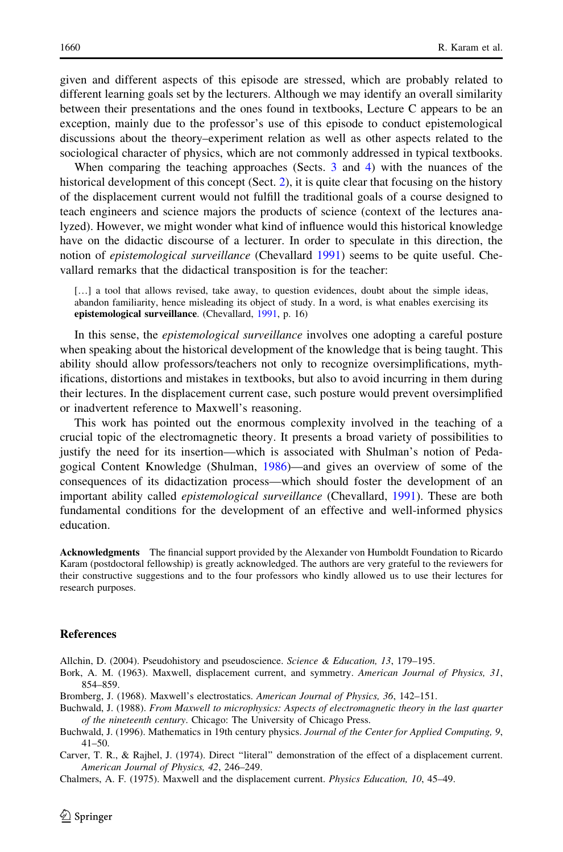<span id="page-23-0"></span>given and different aspects of this episode are stressed, which are probably related to different learning goals set by the lecturers. Although we may identify an overall similarity between their presentations and the ones found in textbooks, Lecture C appears to be an exception, mainly due to the professor's use of this episode to conduct epistemological discussions about the theory–experiment relation as well as other aspects related to the sociological character of physics, which are not commonly addressed in typical textbooks.

When comparing the teaching approaches (Sects. [3](#page-7-0) and [4\)](#page-15-0) with the nuances of the historical development of this concept (Sect. [2\)](#page-1-0), it is quite clear that focusing on the history of the displacement current would not fulfill the traditional goals of a course designed to teach engineers and science majors the products of science (context of the lectures analyzed). However, we might wonder what kind of influence would this historical knowledge have on the didactic discourse of a lecturer. In order to speculate in this direction, the notion of *epistemological surveillance* (Chevallard [1991](#page-24-0)) seems to be quite useful. Chevallard remarks that the didactical transposition is for the teacher:

[...] a tool that allows revised, take away, to question evidences, doubt about the simple ideas, abandon familiarity, hence misleading its object of study. In a word, is what enables exercising its epistemological surveillance. (Chevallard, [1991,](#page-24-0) p. 16)

In this sense, the *epistemological surveillance* involves one adopting a careful posture when speaking about the historical development of the knowledge that is being taught. This ability should allow professors/teachers not only to recognize oversimplifications, mythifications, distortions and mistakes in textbooks, but also to avoid incurring in them during their lectures. In the displacement current case, such posture would prevent oversimplified or inadvertent reference to Maxwell's reasoning.

This work has pointed out the enormous complexity involved in the teaching of a crucial topic of the electromagnetic theory. It presents a broad variety of possibilities to justify the need for its insertion—which is associated with Shulman's notion of Pedagogical Content Knowledge (Shulman, [1986](#page-24-0))—and gives an overview of some of the consequences of its didactization process—which should foster the development of an important ability called *epistemological surveillance* (Chevallard, [1991](#page-24-0)). These are both fundamental conditions for the development of an effective and well-informed physics education.

Acknowledgments The financial support provided by the Alexander von Humboldt Foundation to Ricardo Karam (postdoctoral fellowship) is greatly acknowledged. The authors are very grateful to the reviewers for their constructive suggestions and to the four professors who kindly allowed us to use their lectures for research purposes.

#### References

Allchin, D. (2004). Pseudohistory and pseudoscience. Science & Education, 13, 179–195.

- Bork, A. M. (1963). Maxwell, displacement current, and symmetry. American Journal of Physics, 31, 854–859.
- Bromberg, J. (1968). Maxwell's electrostatics. American Journal of Physics, 36, 142–151.
- Buchwald, J. (1988). From Maxwell to microphysics: Aspects of electromagnetic theory in the last quarter of the nineteenth century. Chicago: The University of Chicago Press.
- Buchwald, J. (1996). Mathematics in 19th century physics. Journal of the Center for Applied Computing, 9, 41–50.

Carver, T. R., & Rajhel, J. (1974). Direct ''literal'' demonstration of the effect of a displacement current. American Journal of Physics, 42, 246–249.

Chalmers, A. F. (1975). Maxwell and the displacement current. Physics Education, 10, 45–49.